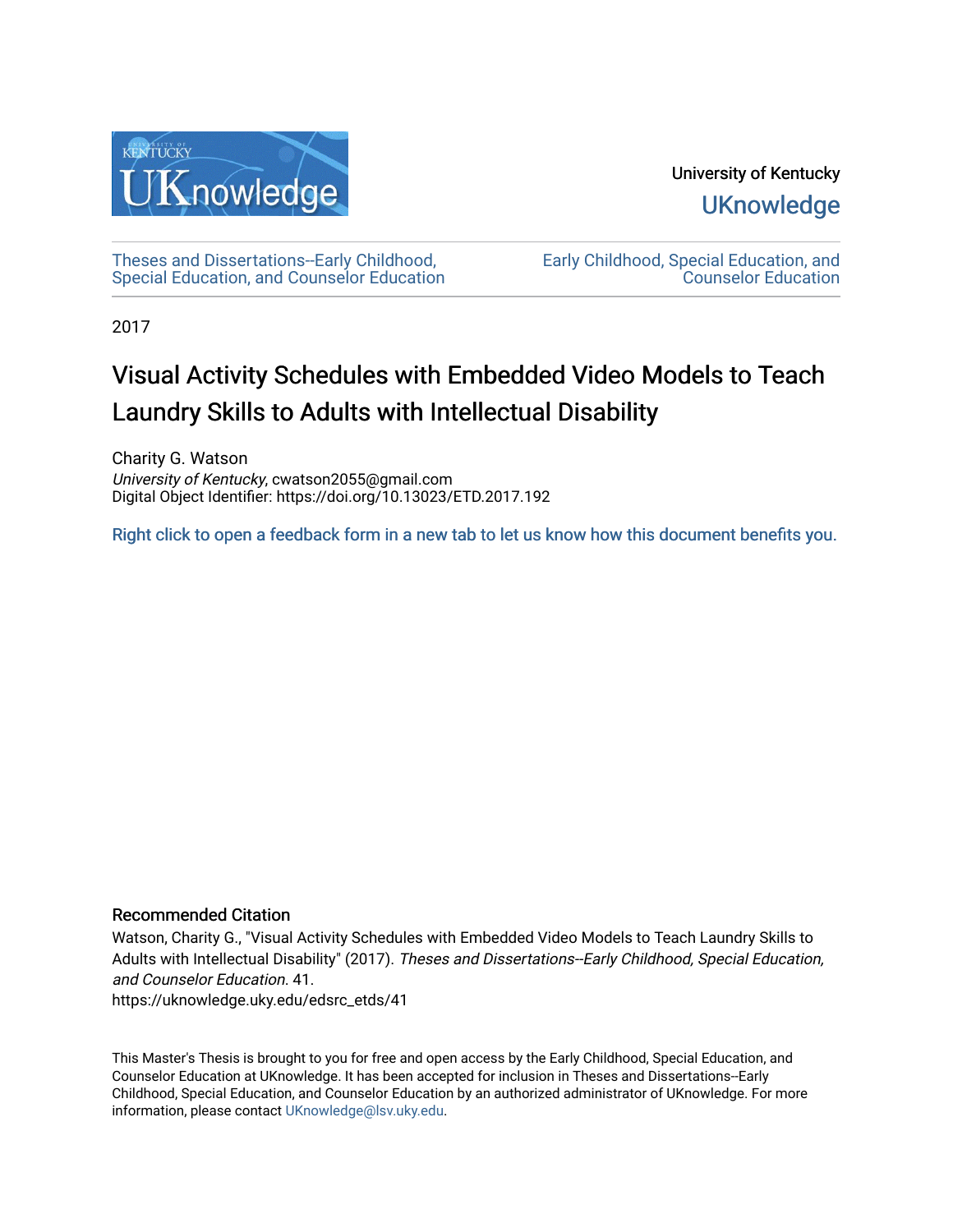

University of Kentucky **UKnowledge** 

[Theses and Dissertations--Early Childhood,](https://uknowledge.uky.edu/edsrc_etds)  [Special Education, and Counselor Education](https://uknowledge.uky.edu/edsrc_etds) [Early Childhood, Special Education, and](https://uknowledge.uky.edu/edsrc)  [Counselor Education](https://uknowledge.uky.edu/edsrc) 

2017

# Visual Activity Schedules with Embedded Video Models to Teach Laundry Skills to Adults with Intellectual Disability

Charity G. Watson University of Kentucky, cwatson2055@gmail.com Digital Object Identifier: https://doi.org/10.13023/ETD.2017.192

[Right click to open a feedback form in a new tab to let us know how this document benefits you.](https://uky.az1.qualtrics.com/jfe/form/SV_9mq8fx2GnONRfz7)

### Recommended Citation

Watson, Charity G., "Visual Activity Schedules with Embedded Video Models to Teach Laundry Skills to Adults with Intellectual Disability" (2017). Theses and Dissertations--Early Childhood, Special Education, and Counselor Education. 41.

https://uknowledge.uky.edu/edsrc\_etds/41

This Master's Thesis is brought to you for free and open access by the Early Childhood, Special Education, and Counselor Education at UKnowledge. It has been accepted for inclusion in Theses and Dissertations--Early Childhood, Special Education, and Counselor Education by an authorized administrator of UKnowledge. For more information, please contact [UKnowledge@lsv.uky.edu](mailto:UKnowledge@lsv.uky.edu).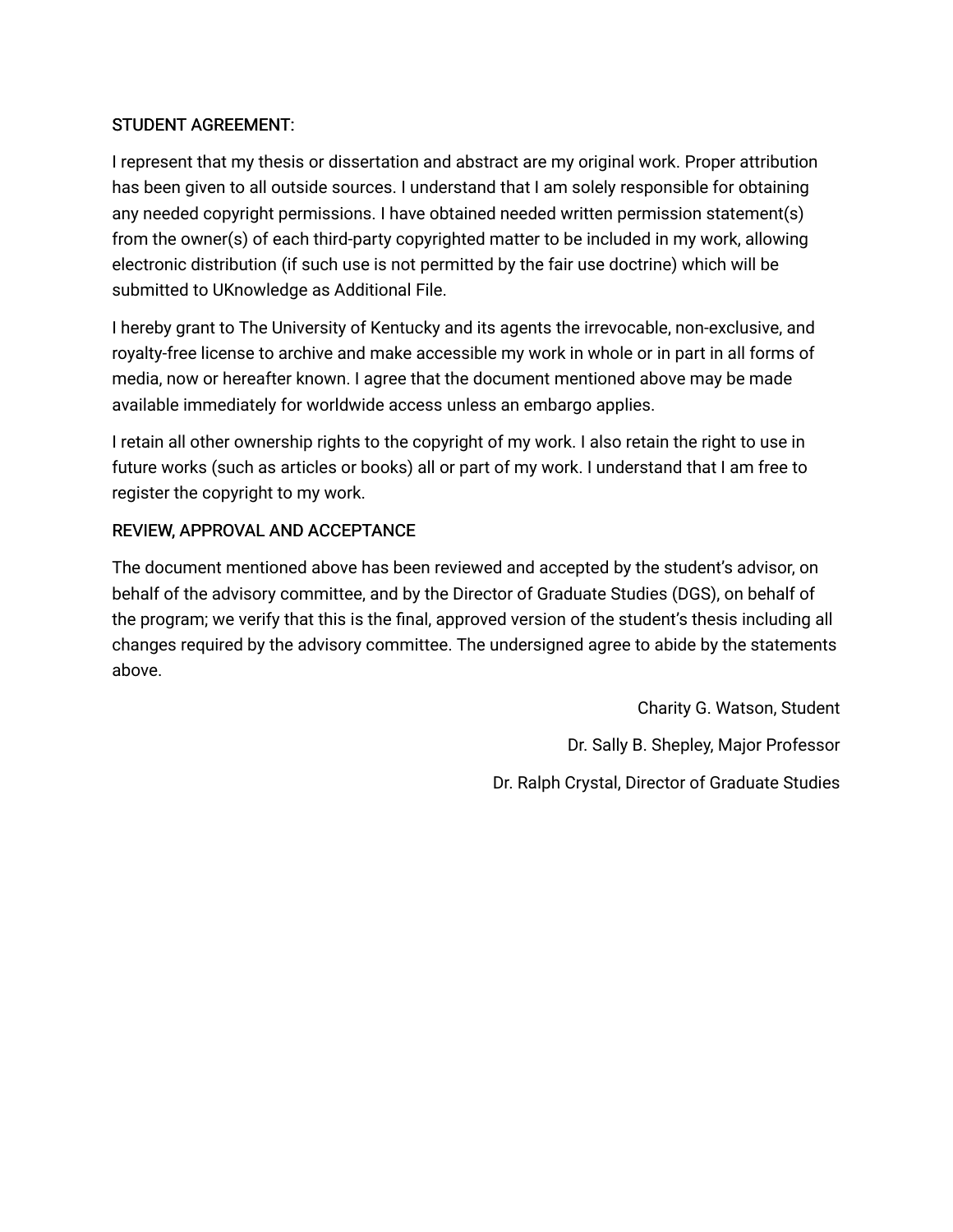## STUDENT AGREEMENT:

I represent that my thesis or dissertation and abstract are my original work. Proper attribution has been given to all outside sources. I understand that I am solely responsible for obtaining any needed copyright permissions. I have obtained needed written permission statement(s) from the owner(s) of each third-party copyrighted matter to be included in my work, allowing electronic distribution (if such use is not permitted by the fair use doctrine) which will be submitted to UKnowledge as Additional File.

I hereby grant to The University of Kentucky and its agents the irrevocable, non-exclusive, and royalty-free license to archive and make accessible my work in whole or in part in all forms of media, now or hereafter known. I agree that the document mentioned above may be made available immediately for worldwide access unless an embargo applies.

I retain all other ownership rights to the copyright of my work. I also retain the right to use in future works (such as articles or books) all or part of my work. I understand that I am free to register the copyright to my work.

## REVIEW, APPROVAL AND ACCEPTANCE

The document mentioned above has been reviewed and accepted by the student's advisor, on behalf of the advisory committee, and by the Director of Graduate Studies (DGS), on behalf of the program; we verify that this is the final, approved version of the student's thesis including all changes required by the advisory committee. The undersigned agree to abide by the statements above.

> Charity G. Watson, Student Dr. Sally B. Shepley, Major Professor Dr. Ralph Crystal, Director of Graduate Studies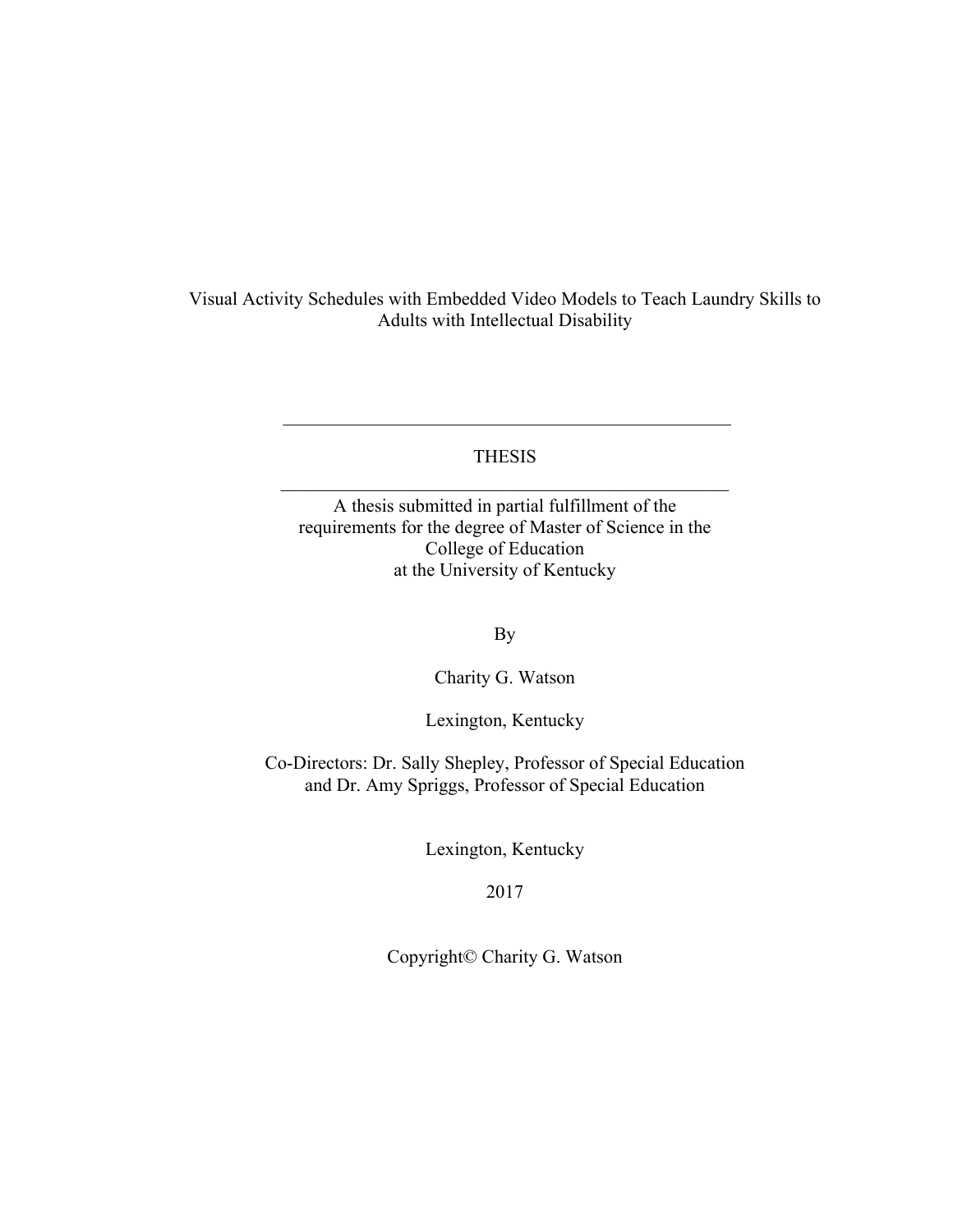Visual Activity Schedules with Embedded Video Models to Teach Laundry Skills to Adults with Intellectual Disability

> THESIS  $\mathcal{L}_\text{max}$  , and the contract of the contract of the contract of the contract of the contract of the contract of the contract of the contract of the contract of the contract of the contract of the contract of the contr

> $\mathcal{L}_\text{max}$  , and the contract of the contract of the contract of the contract of the contract of the contract of the contract of the contract of the contract of the contract of the contract of the contract of the contr

A thesis submitted in partial fulfillment of the requirements for the degree of Master of Science in the College of Education at the University of Kentucky

By

Charity G. Watson

Lexington, Kentucky

Co-Directors: Dr. Sally Shepley, Professor of Special Education and Dr. Amy Spriggs, Professor of Special Education

Lexington, Kentucky

2017

Copyright© Charity G. Watson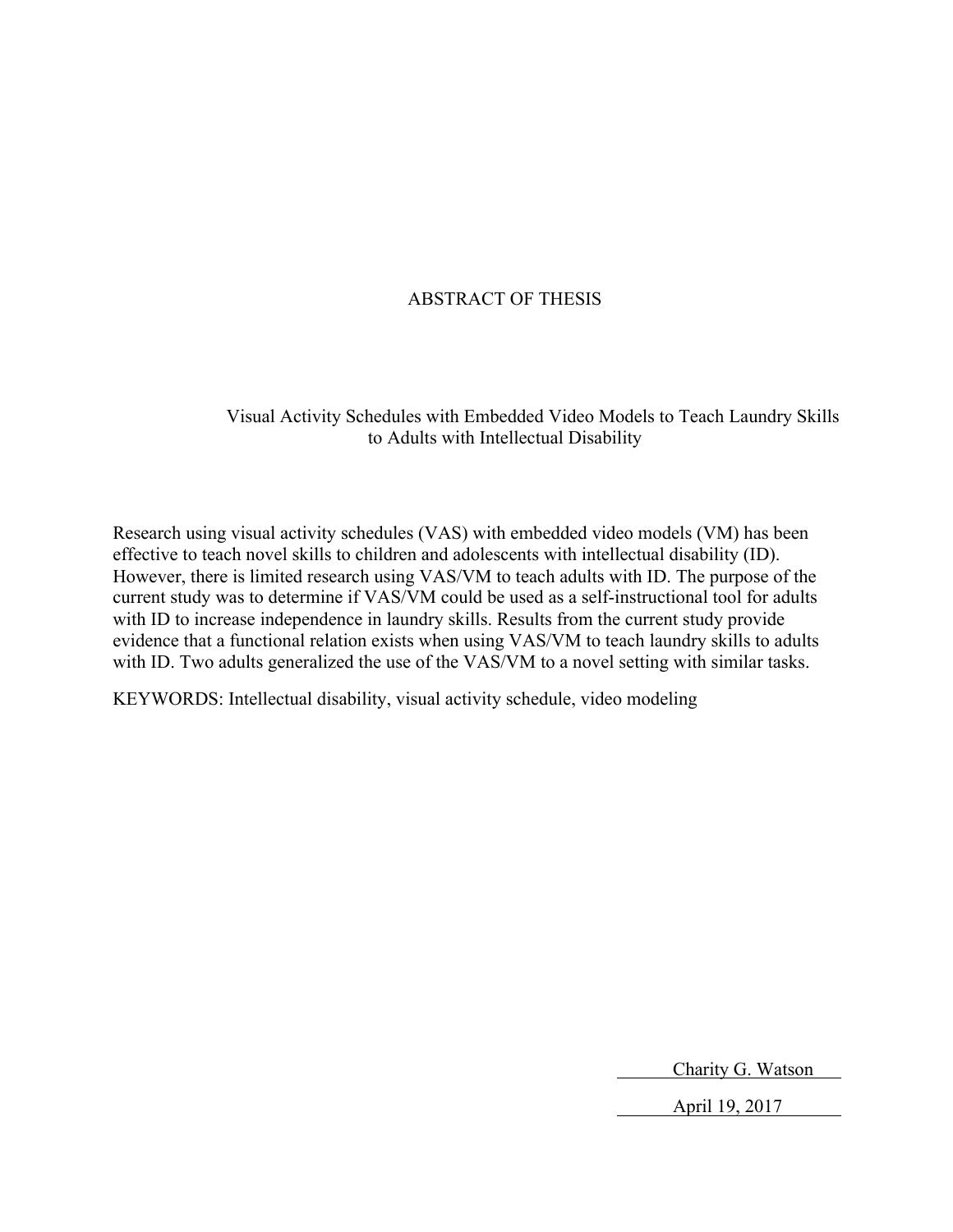## ABSTRACT OF THESIS

Visual Activity Schedules with Embedded Video Models to Teach Laundry Skills to Adults with Intellectual Disability

Research using visual activity schedules (VAS) with embedded video models (VM) has been effective to teach novel skills to children and adolescents with intellectual disability (ID). However, there is limited research using VAS/VM to teach adults with ID. The purpose of the current study was to determine if VAS/VM could be used as a self-instructional tool for adults with ID to increase independence in laundry skills. Results from the current study provide evidence that a functional relation exists when using VAS/VM to teach laundry skills to adults with ID. Two adults generalized the use of the VAS/VM to a novel setting with similar tasks.

KEYWORDS: Intellectual disability, visual activity schedule, video modeling

Charity G. Watson

April 19, 2017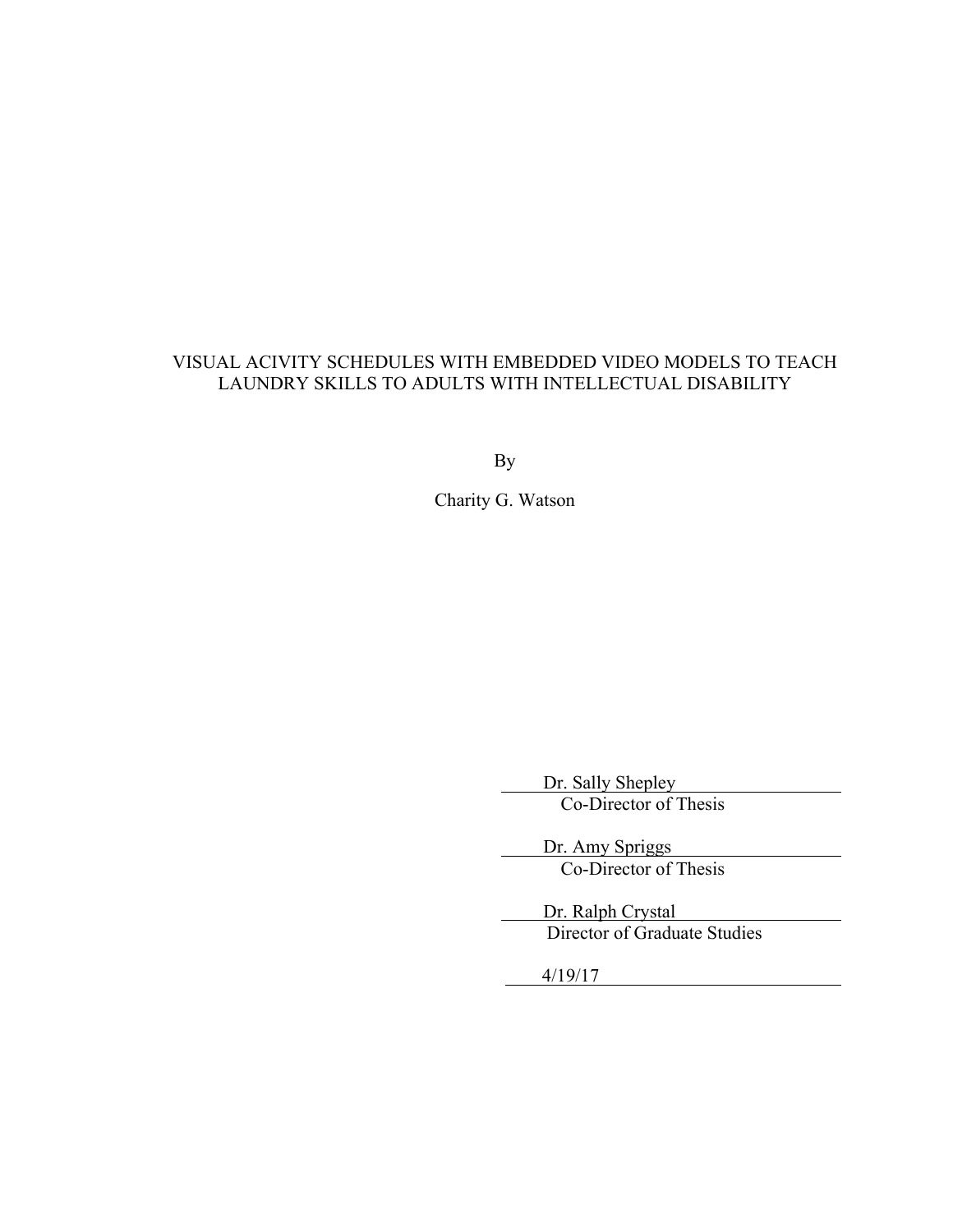## VISUAL ACIVITY SCHEDULES WITH EMBEDDED VIDEO MODELS TO TEACH LAUNDRY SKILLS TO ADULTS WITH INTELLECTUAL DISABILITY

By

Charity G. Watson

Dr. Sally Shepley Co-Director of Thesis

 Dr. Amy Spriggs Co-Director of Thesis

 Dr. Ralph Crystal Director of Graduate Studies

4/19/17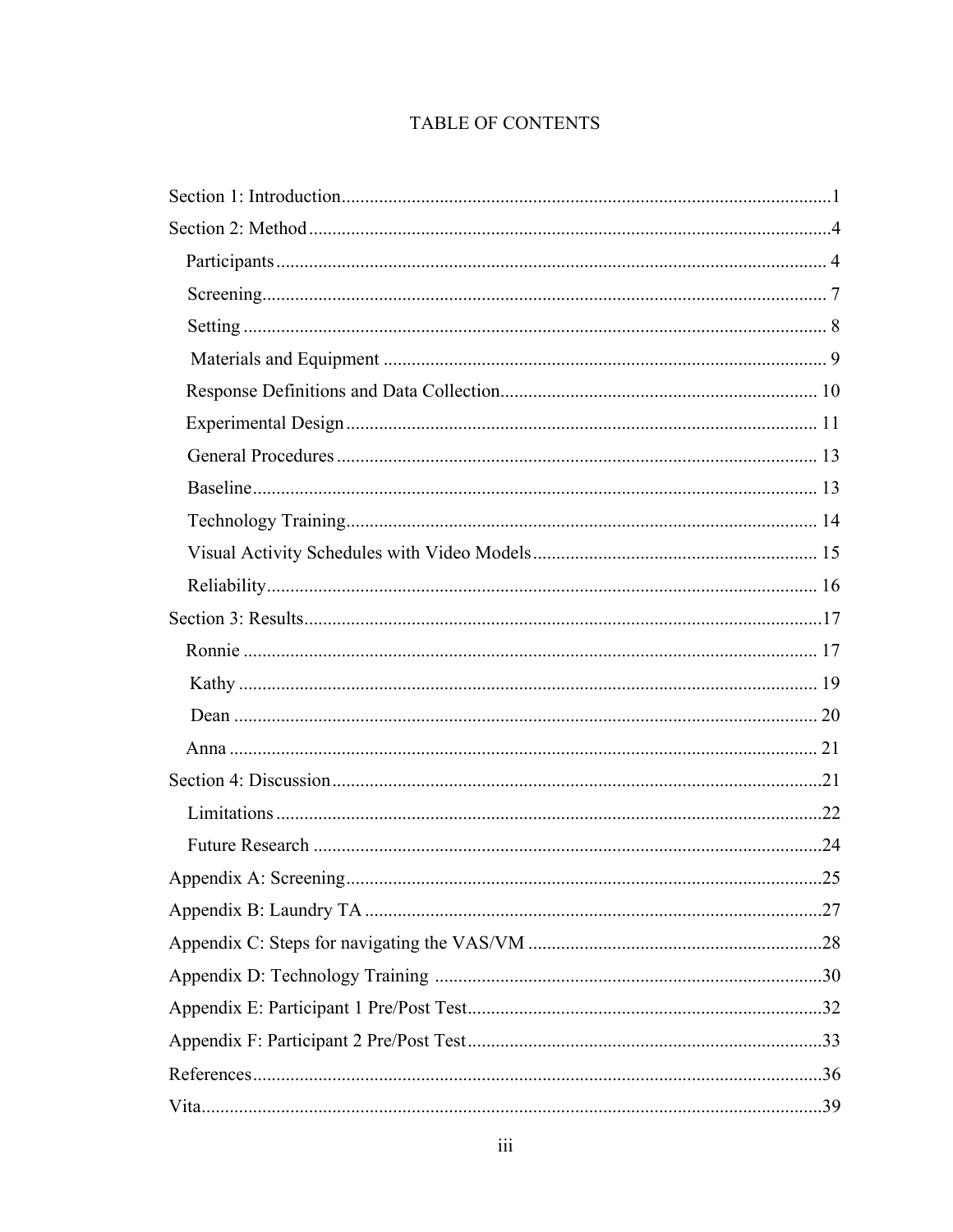## TABLE OF CONTENTS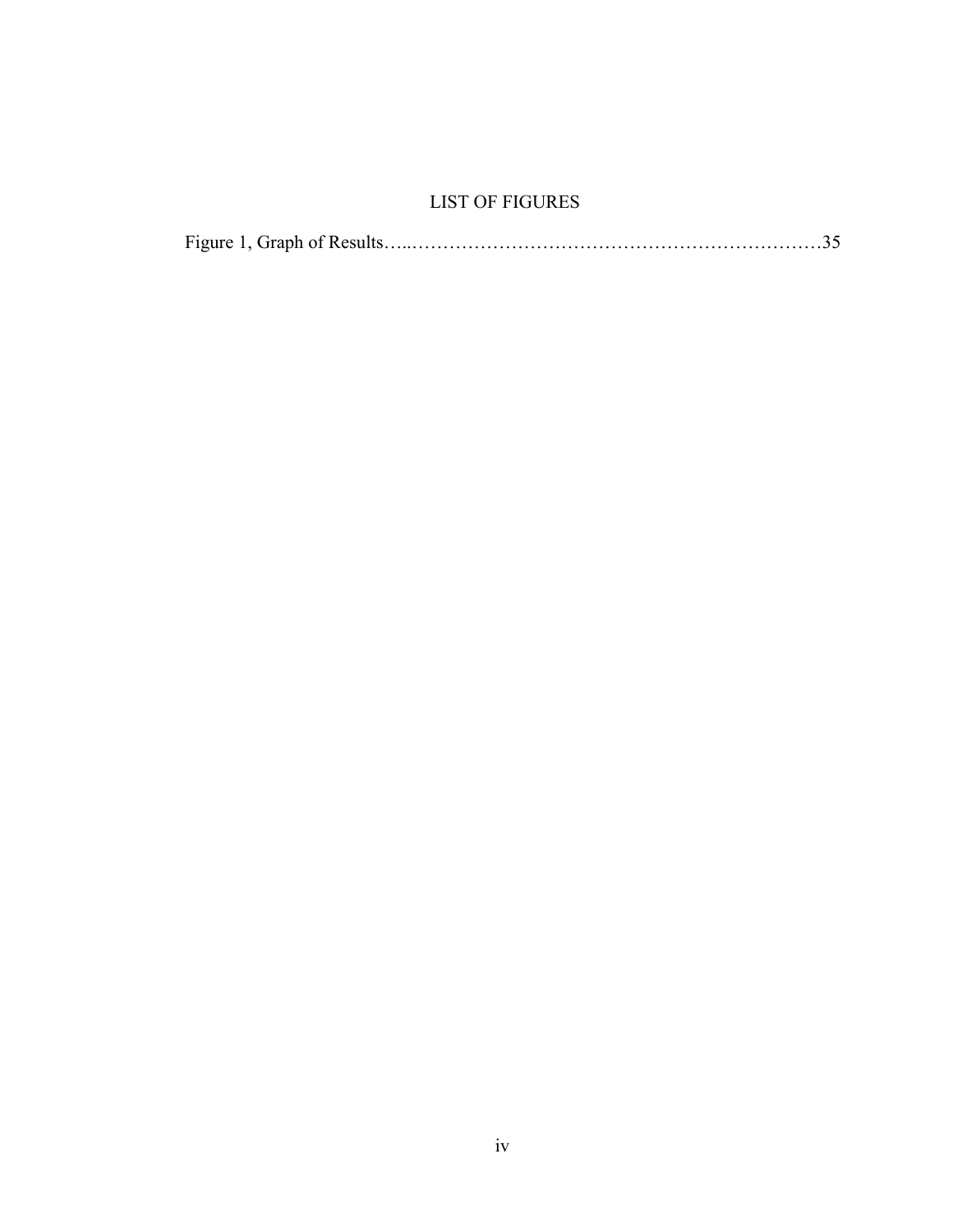## LIST OF FIGURES

|--|--|--|--|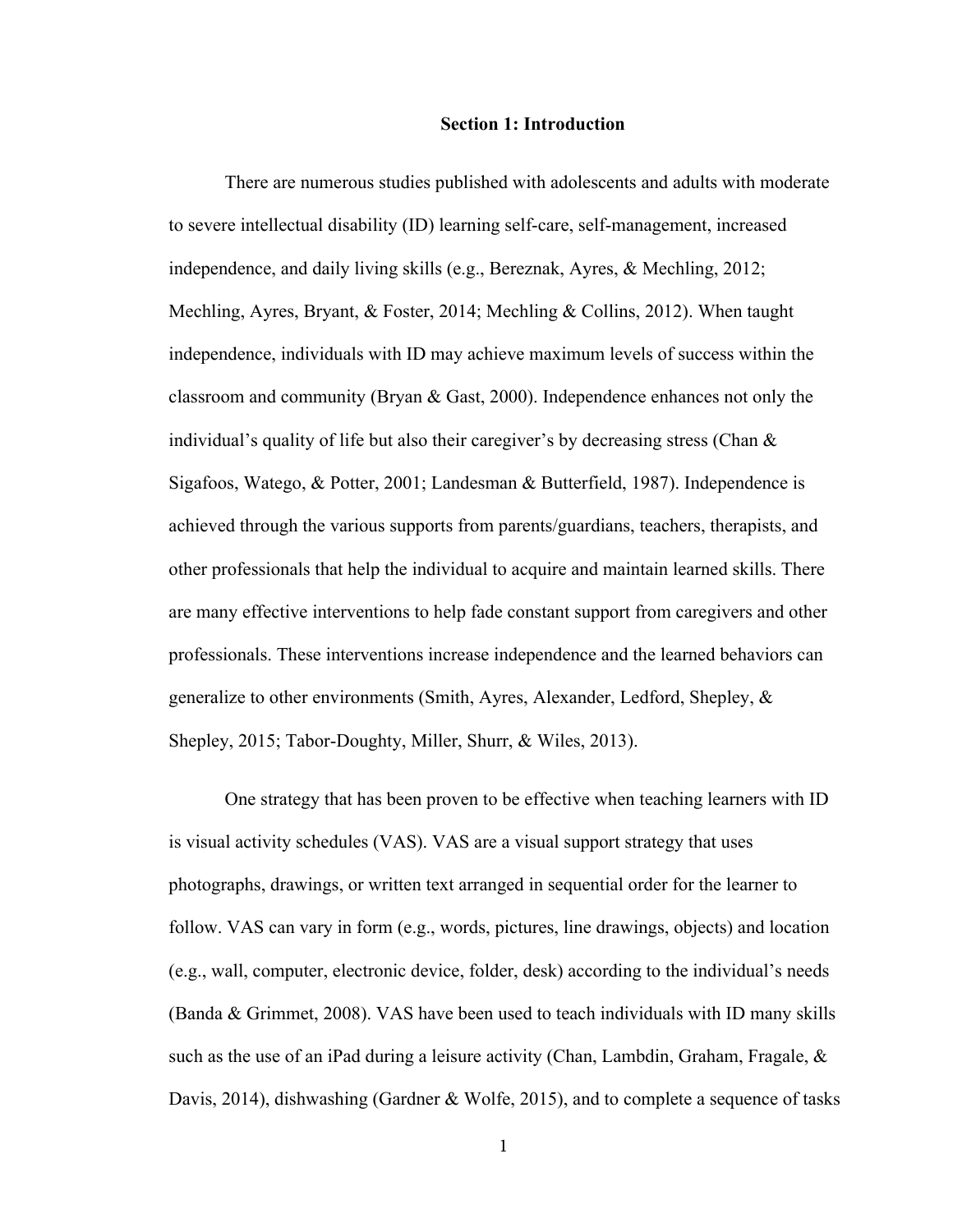#### **Section 1: Introduction**

There are numerous studies published with adolescents and adults with moderate to severe intellectual disability (ID) learning self-care, self-management, increased independence, and daily living skills (e.g., Bereznak, Ayres, & Mechling, 2012; Mechling, Ayres, Bryant, & Foster, 2014; Mechling & Collins, 2012). When taught independence, individuals with ID may achieve maximum levels of success within the classroom and community (Bryan & Gast, 2000). Independence enhances not only the individual's quality of life but also their caregiver's by decreasing stress (Chan & Sigafoos, Watego, & Potter, 2001; Landesman & Butterfield, 1987). Independence is achieved through the various supports from parents/guardians, teachers, therapists, and other professionals that help the individual to acquire and maintain learned skills. There are many effective interventions to help fade constant support from caregivers and other professionals. These interventions increase independence and the learned behaviors can generalize to other environments (Smith, Ayres, Alexander, Ledford, Shepley, & Shepley, 2015; Tabor-Doughty, Miller, Shurr, & Wiles, 2013).

One strategy that has been proven to be effective when teaching learners with ID is visual activity schedules (VAS). VAS are a visual support strategy that uses photographs, drawings, or written text arranged in sequential order for the learner to follow. VAS can vary in form (e.g., words, pictures, line drawings, objects) and location (e.g., wall, computer, electronic device, folder, desk) according to the individual's needs (Banda & Grimmet, 2008). VAS have been used to teach individuals with ID many skills such as the use of an iPad during a leisure activity (Chan, Lambdin, Graham, Fragale, & Davis, 2014), dishwashing (Gardner & Wolfe, 2015), and to complete a sequence of tasks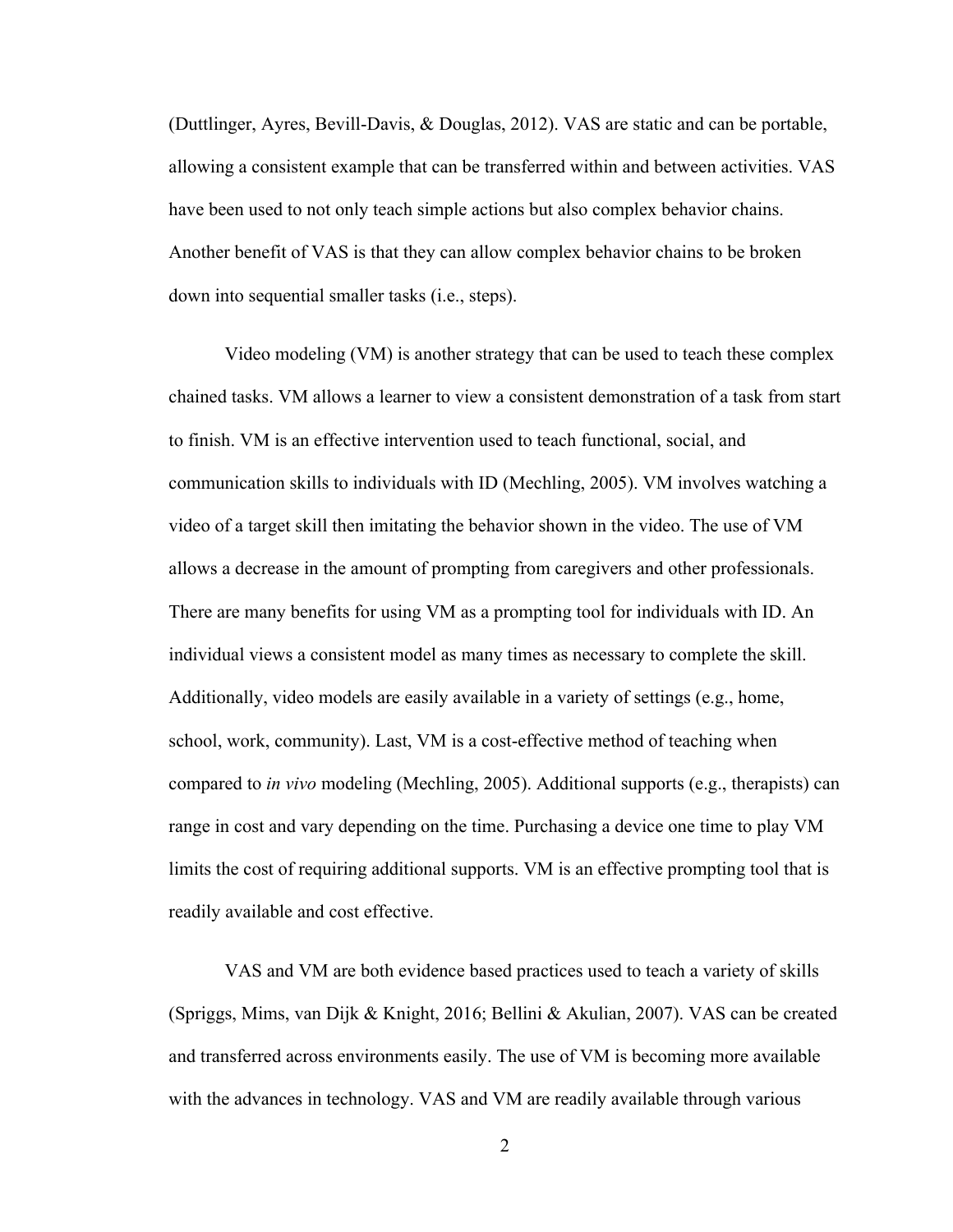(Duttlinger, Ayres, Bevill-Davis, & Douglas, 2012). VAS are static and can be portable, allowing a consistent example that can be transferred within and between activities. VAS have been used to not only teach simple actions but also complex behavior chains. Another benefit of VAS is that they can allow complex behavior chains to be broken down into sequential smaller tasks (i.e., steps).

Video modeling (VM) is another strategy that can be used to teach these complex chained tasks. VM allows a learner to view a consistent demonstration of a task from start to finish. VM is an effective intervention used to teach functional, social, and communication skills to individuals with ID (Mechling, 2005). VM involves watching a video of a target skill then imitating the behavior shown in the video. The use of VM allows a decrease in the amount of prompting from caregivers and other professionals. There are many benefits for using VM as a prompting tool for individuals with ID. An individual views a consistent model as many times as necessary to complete the skill. Additionally, video models are easily available in a variety of settings (e.g., home, school, work, community). Last, VM is a cost-effective method of teaching when compared to *in vivo* modeling (Mechling, 2005). Additional supports (e.g., therapists) can range in cost and vary depending on the time. Purchasing a device one time to play VM limits the cost of requiring additional supports. VM is an effective prompting tool that is readily available and cost effective.

VAS and VM are both evidence based practices used to teach a variety of skills (Spriggs, Mims, van Dijk & Knight, 2016; Bellini & Akulian, 2007). VAS can be created and transferred across environments easily. The use of VM is becoming more available with the advances in technology. VAS and VM are readily available through various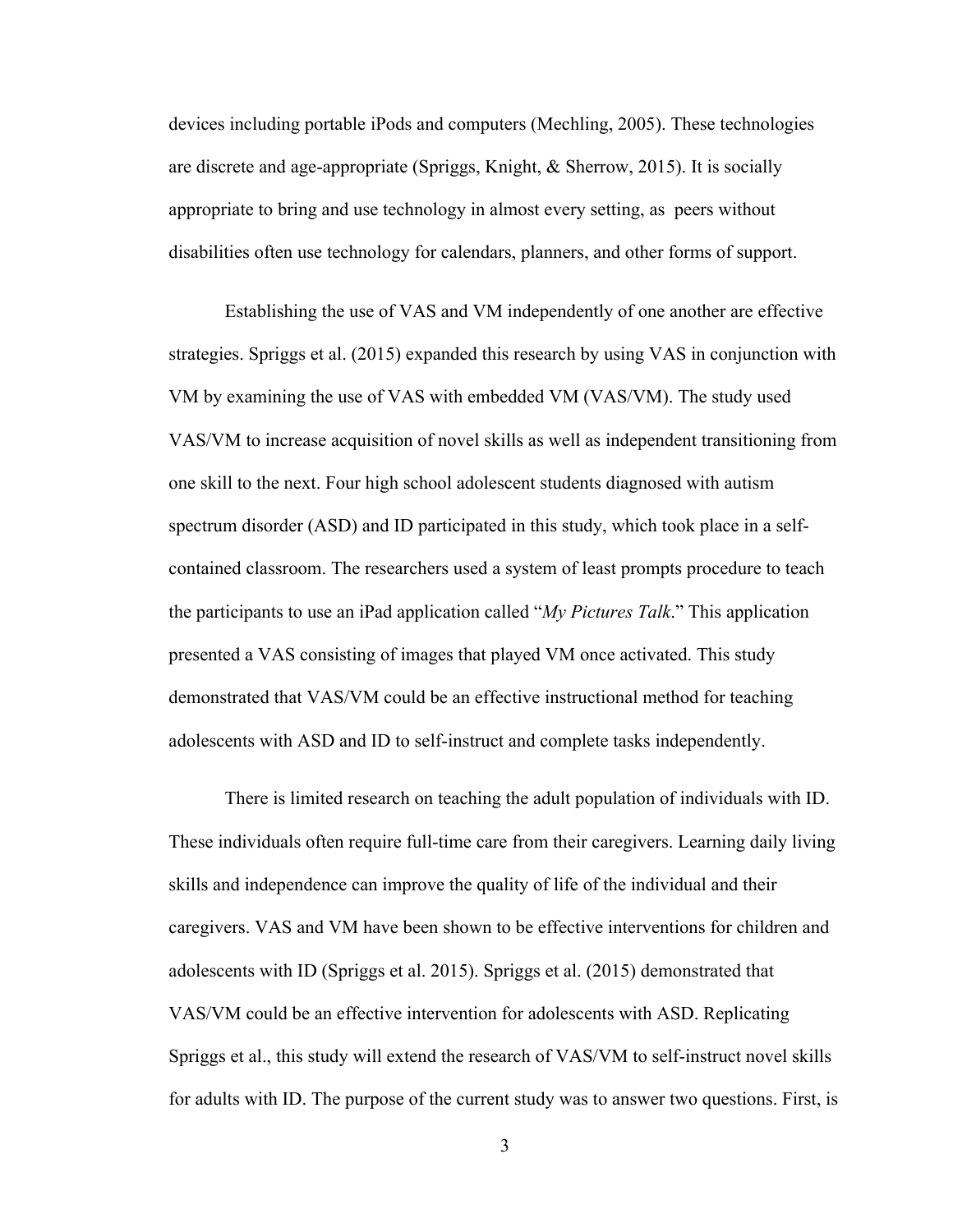devices including portable iPods and computers (Mechling, 2005). These technologies are discrete and age-appropriate (Spriggs, Knight, & Sherrow, 2015). It is socially appropriate to bring and use technology in almost every setting, as peers without disabilities often use technology for calendars, planners, and other forms of support.

Establishing the use of VAS and VM independently of one another are effective strategies. Spriggs et al. (2015) expanded this research by using VAS in conjunction with VM by examining the use of VAS with embedded VM (VAS/VM). The study used VAS/VM to increase acquisition of novel skills as well as independent transitioning from one skill to the next. Four high school adolescent students diagnosed with autism spectrum disorder (ASD) and ID participated in this study, which took place in a selfcontained classroom. The researchers used a system of least prompts procedure to teach the participants to use an iPad application called "*My Pictures Talk*." This application presented a VAS consisting of images that played VM once activated. This study demonstrated that VAS/VM could be an effective instructional method for teaching adolescents with ASD and ID to self-instruct and complete tasks independently.

There is limited research on teaching the adult population of individuals with ID. These individuals often require full-time care from their caregivers. Learning daily living skills and independence can improve the quality of life of the individual and their caregivers. VAS and VM have been shown to be effective interventions for children and adolescents with ID (Spriggs et al. 2015). Spriggs et al. (2015) demonstrated that VAS/VM could be an effective intervention for adolescents with ASD. Replicating Spriggs et al., this study will extend the research of VAS/VM to self-instruct novel skills for adults with ID. The purpose of the current study was to answer two questions. First, is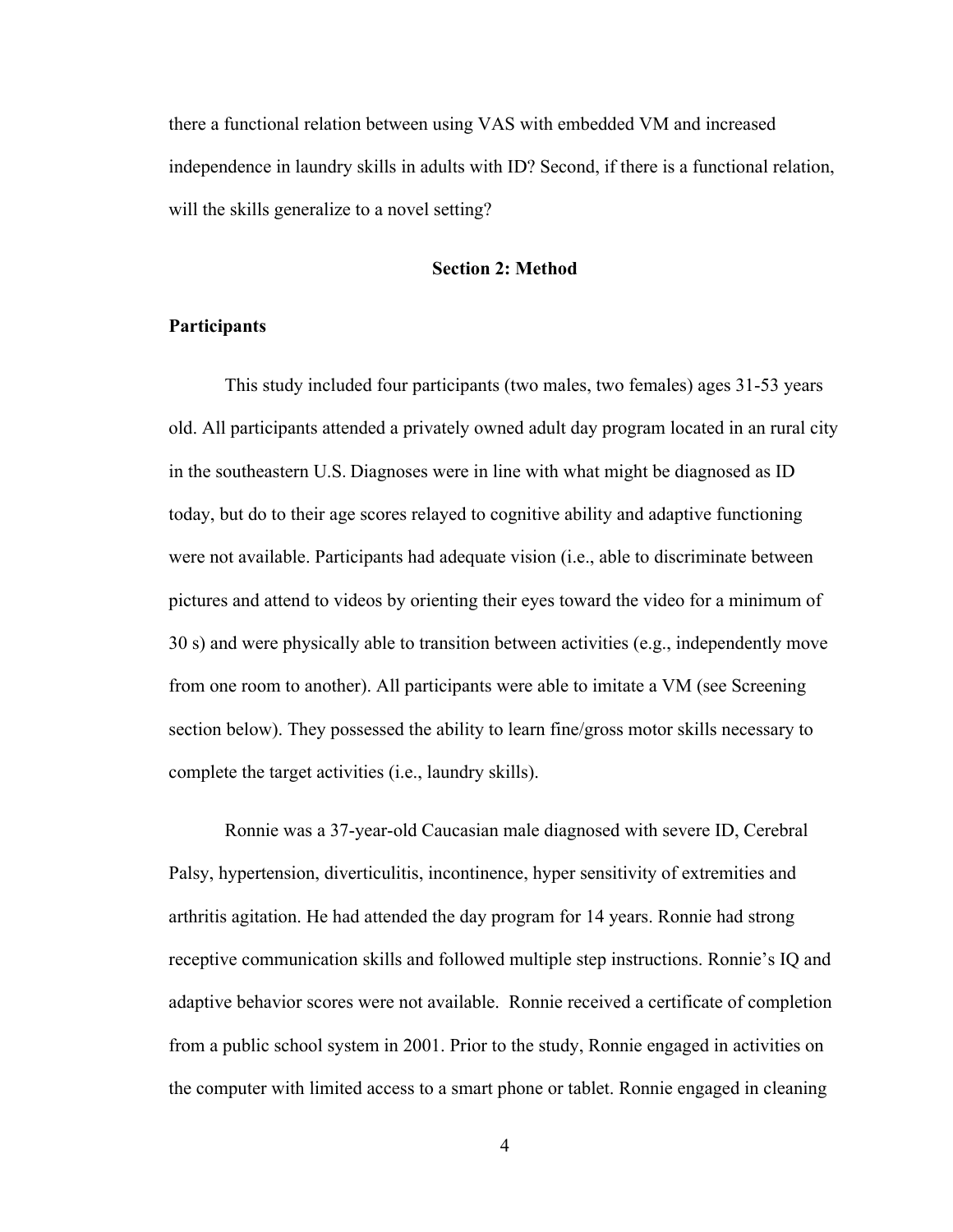there a functional relation between using VAS with embedded VM and increased independence in laundry skills in adults with ID? Second, if there is a functional relation, will the skills generalize to a novel setting?

#### **Section 2: Method**

#### **Participants**

This study included four participants (two males, two females) ages 31-53 years old. All participants attended a privately owned adult day program located in an rural city in the southeastern U.S. Diagnoses were in line with what might be diagnosed as ID today, but do to their age scores relayed to cognitive ability and adaptive functioning were not available. Participants had adequate vision (i.e., able to discriminate between pictures and attend to videos by orienting their eyes toward the video for a minimum of 30 s) and were physically able to transition between activities (e.g., independently move from one room to another). All participants were able to imitate a VM (see Screening section below). They possessed the ability to learn fine/gross motor skills necessary to complete the target activities (i.e., laundry skills).

Ronnie was a 37-year-old Caucasian male diagnosed with severe ID, Cerebral Palsy, hypertension, diverticulitis, incontinence, hyper sensitivity of extremities and arthritis agitation. He had attended the day program for 14 years. Ronnie had strong receptive communication skills and followed multiple step instructions. Ronnie's IQ and adaptive behavior scores were not available. Ronnie received a certificate of completion from a public school system in 2001. Prior to the study, Ronnie engaged in activities on the computer with limited access to a smart phone or tablet. Ronnie engaged in cleaning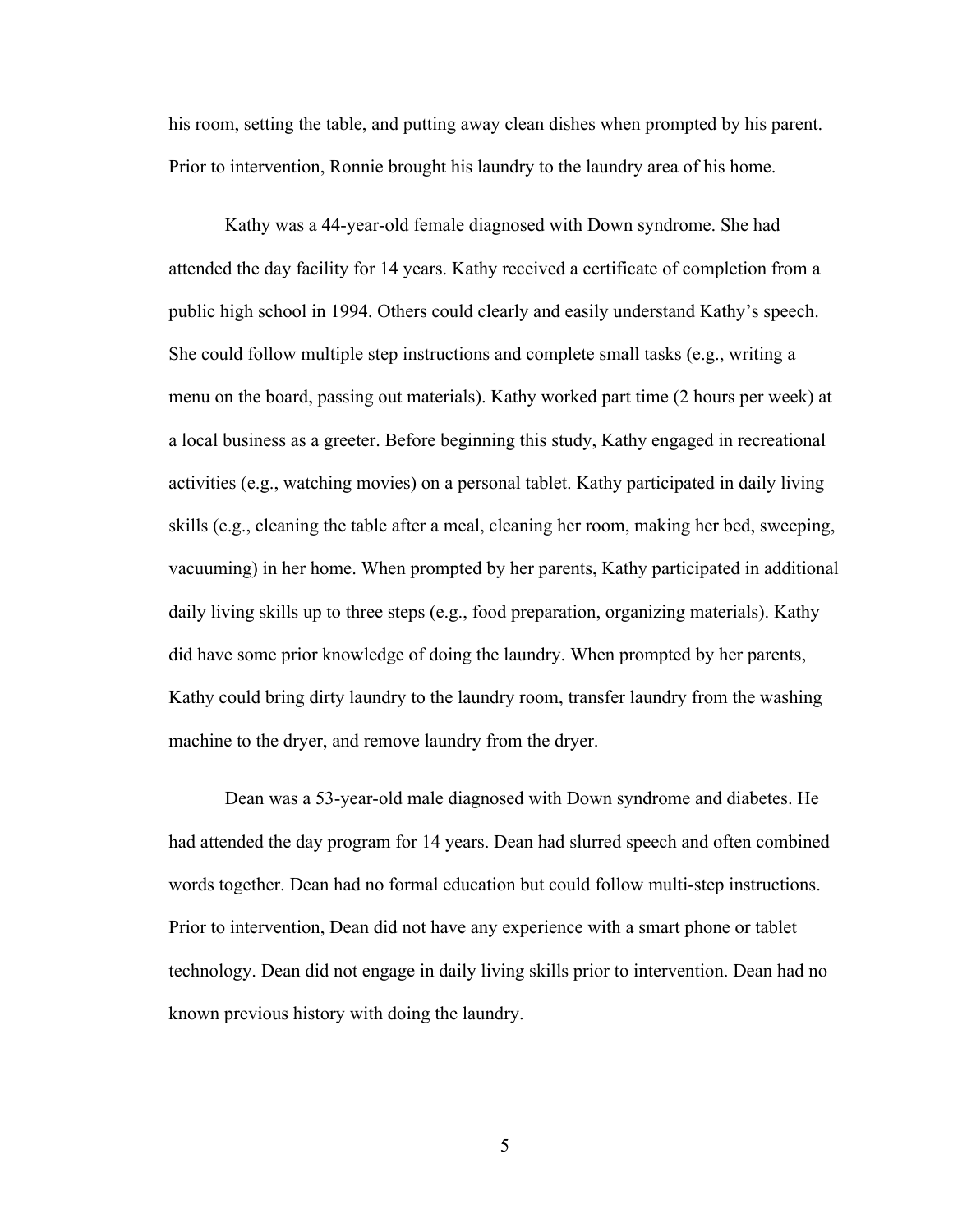his room, setting the table, and putting away clean dishes when prompted by his parent. Prior to intervention, Ronnie brought his laundry to the laundry area of his home.

Kathy was a 44-year-old female diagnosed with Down syndrome. She had attended the day facility for 14 years. Kathy received a certificate of completion from a public high school in 1994. Others could clearly and easily understand Kathy's speech. She could follow multiple step instructions and complete small tasks (e.g., writing a menu on the board, passing out materials). Kathy worked part time (2 hours per week) at a local business as a greeter. Before beginning this study, Kathy engaged in recreational activities (e.g., watching movies) on a personal tablet. Kathy participated in daily living skills (e.g., cleaning the table after a meal, cleaning her room, making her bed, sweeping, vacuuming) in her home. When prompted by her parents, Kathy participated in additional daily living skills up to three steps (e.g., food preparation, organizing materials). Kathy did have some prior knowledge of doing the laundry. When prompted by her parents, Kathy could bring dirty laundry to the laundry room, transfer laundry from the washing machine to the dryer, and remove laundry from the dryer.

Dean was a 53-year-old male diagnosed with Down syndrome and diabetes. He had attended the day program for 14 years. Dean had slurred speech and often combined words together. Dean had no formal education but could follow multi-step instructions. Prior to intervention, Dean did not have any experience with a smart phone or tablet technology. Dean did not engage in daily living skills prior to intervention. Dean had no known previous history with doing the laundry.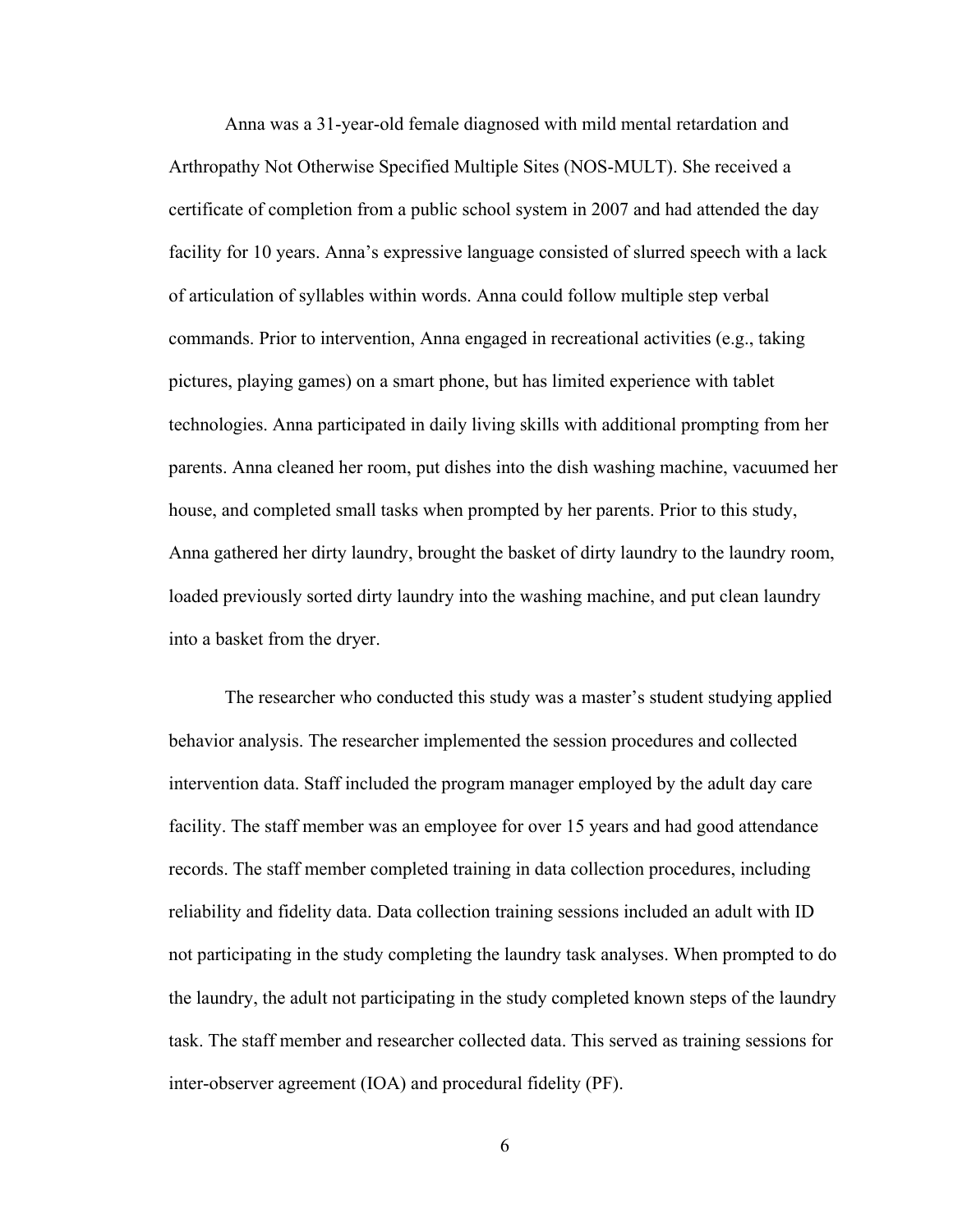Anna was a 31-year-old female diagnosed with mild mental retardation and Arthropathy Not Otherwise Specified Multiple Sites (NOS-MULT). She received a certificate of completion from a public school system in 2007 and had attended the day facility for 10 years. Anna's expressive language consisted of slurred speech with a lack of articulation of syllables within words. Anna could follow multiple step verbal commands. Prior to intervention, Anna engaged in recreational activities (e.g., taking pictures, playing games) on a smart phone, but has limited experience with tablet technologies. Anna participated in daily living skills with additional prompting from her parents. Anna cleaned her room, put dishes into the dish washing machine, vacuumed her house, and completed small tasks when prompted by her parents. Prior to this study, Anna gathered her dirty laundry, brought the basket of dirty laundry to the laundry room, loaded previously sorted dirty laundry into the washing machine, and put clean laundry into a basket from the dryer.

The researcher who conducted this study was a master's student studying applied behavior analysis. The researcher implemented the session procedures and collected intervention data. Staff included the program manager employed by the adult day care facility. The staff member was an employee for over 15 years and had good attendance records. The staff member completed training in data collection procedures, including reliability and fidelity data. Data collection training sessions included an adult with ID not participating in the study completing the laundry task analyses. When prompted to do the laundry, the adult not participating in the study completed known steps of the laundry task. The staff member and researcher collected data. This served as training sessions for inter-observer agreement (IOA) and procedural fidelity (PF).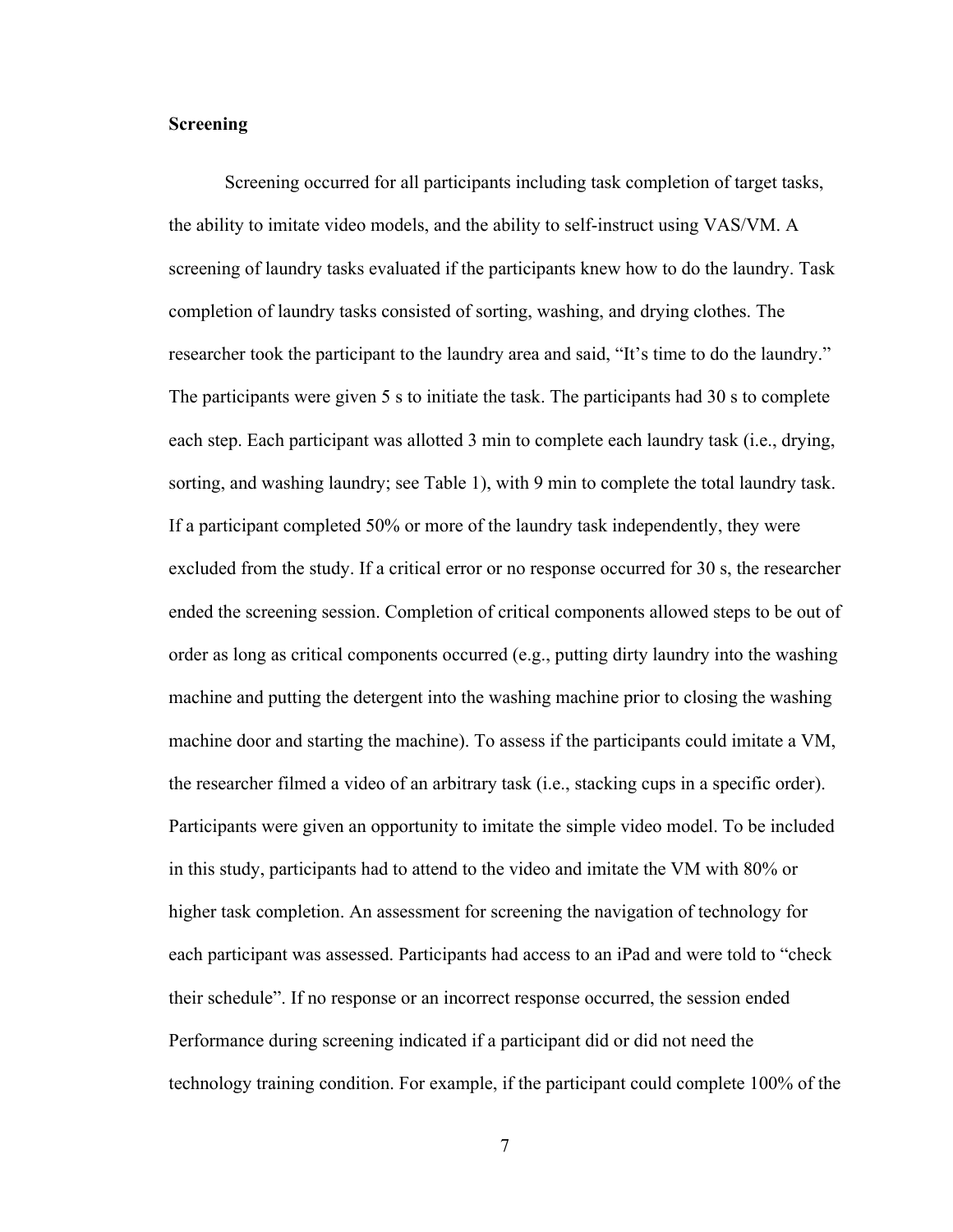#### **Screening**

Screening occurred for all participants including task completion of target tasks, the ability to imitate video models, and the ability to self-instruct using VAS/VM. A screening of laundry tasks evaluated if the participants knew how to do the laundry. Task completion of laundry tasks consisted of sorting, washing, and drying clothes. The researcher took the participant to the laundry area and said, "It's time to do the laundry." The participants were given 5 s to initiate the task. The participants had 30 s to complete each step. Each participant was allotted 3 min to complete each laundry task (i.e., drying, sorting, and washing laundry; see Table 1), with 9 min to complete the total laundry task. If a participant completed 50% or more of the laundry task independently, they were excluded from the study. If a critical error or no response occurred for 30 s, the researcher ended the screening session. Completion of critical components allowed steps to be out of order as long as critical components occurred (e.g., putting dirty laundry into the washing machine and putting the detergent into the washing machine prior to closing the washing machine door and starting the machine). To assess if the participants could imitate a VM, the researcher filmed a video of an arbitrary task (i.e., stacking cups in a specific order). Participants were given an opportunity to imitate the simple video model. To be included in this study, participants had to attend to the video and imitate the VM with 80% or higher task completion. An assessment for screening the navigation of technology for each participant was assessed. Participants had access to an iPad and were told to "check their schedule". If no response or an incorrect response occurred, the session ended Performance during screening indicated if a participant did or did not need the technology training condition. For example, if the participant could complete 100% of the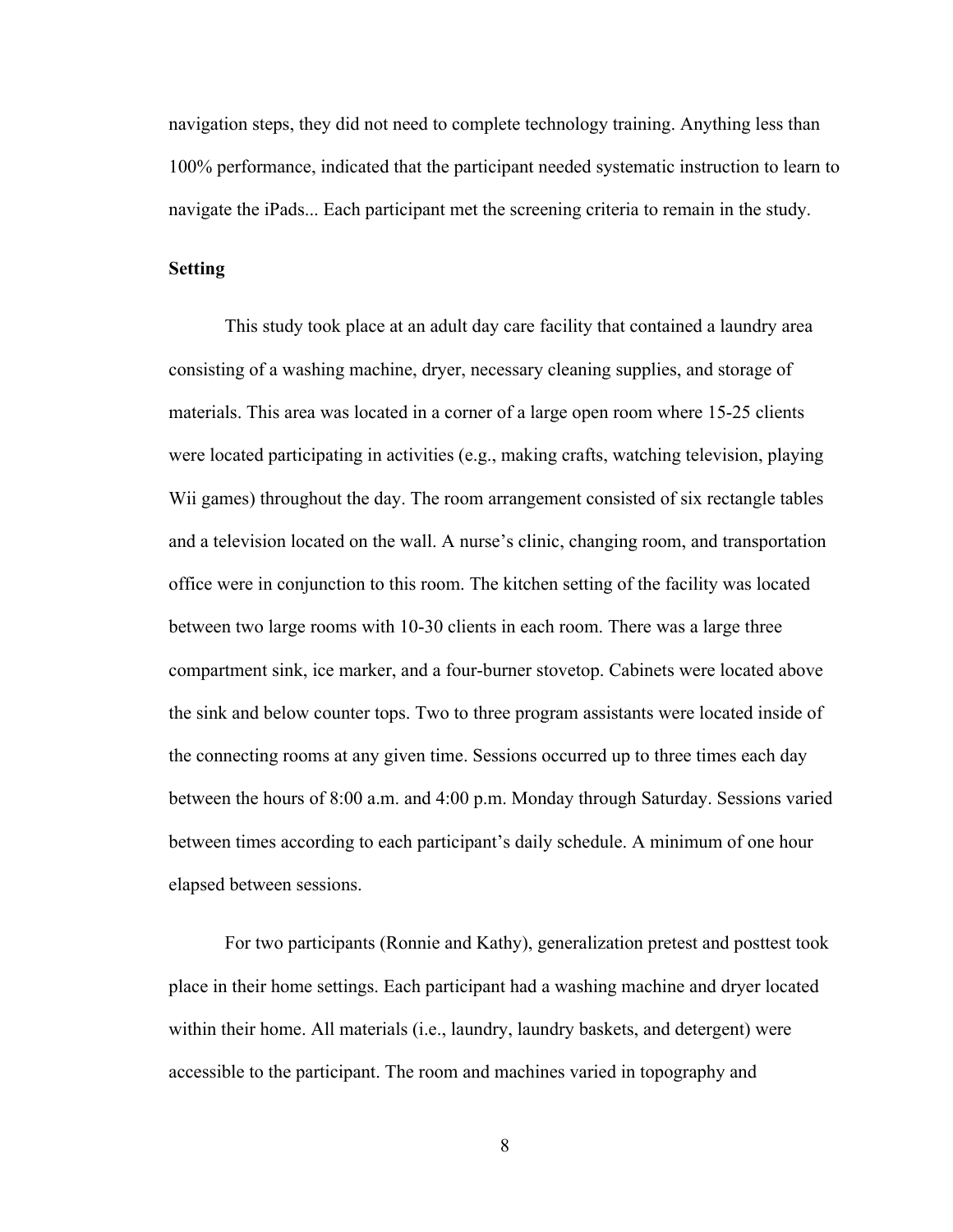navigation steps, they did not need to complete technology training. Anything less than 100% performance, indicated that the participant needed systematic instruction to learn to navigate the iPads... Each participant met the screening criteria to remain in the study.

#### **Setting**

This study took place at an adult day care facility that contained a laundry area consisting of a washing machine, dryer, necessary cleaning supplies, and storage of materials. This area was located in a corner of a large open room where 15-25 clients were located participating in activities (e.g., making crafts, watching television, playing Wii games) throughout the day. The room arrangement consisted of six rectangle tables and a television located on the wall. A nurse's clinic, changing room, and transportation office were in conjunction to this room. The kitchen setting of the facility was located between two large rooms with 10-30 clients in each room. There was a large three compartment sink, ice marker, and a four-burner stovetop. Cabinets were located above the sink and below counter tops. Two to three program assistants were located inside of the connecting rooms at any given time. Sessions occurred up to three times each day between the hours of 8:00 a.m. and 4:00 p.m. Monday through Saturday. Sessions varied between times according to each participant's daily schedule. A minimum of one hour elapsed between sessions.

For two participants (Ronnie and Kathy), generalization pretest and posttest took place in their home settings. Each participant had a washing machine and dryer located within their home. All materials (i.e., laundry, laundry baskets, and detergent) were accessible to the participant. The room and machines varied in topography and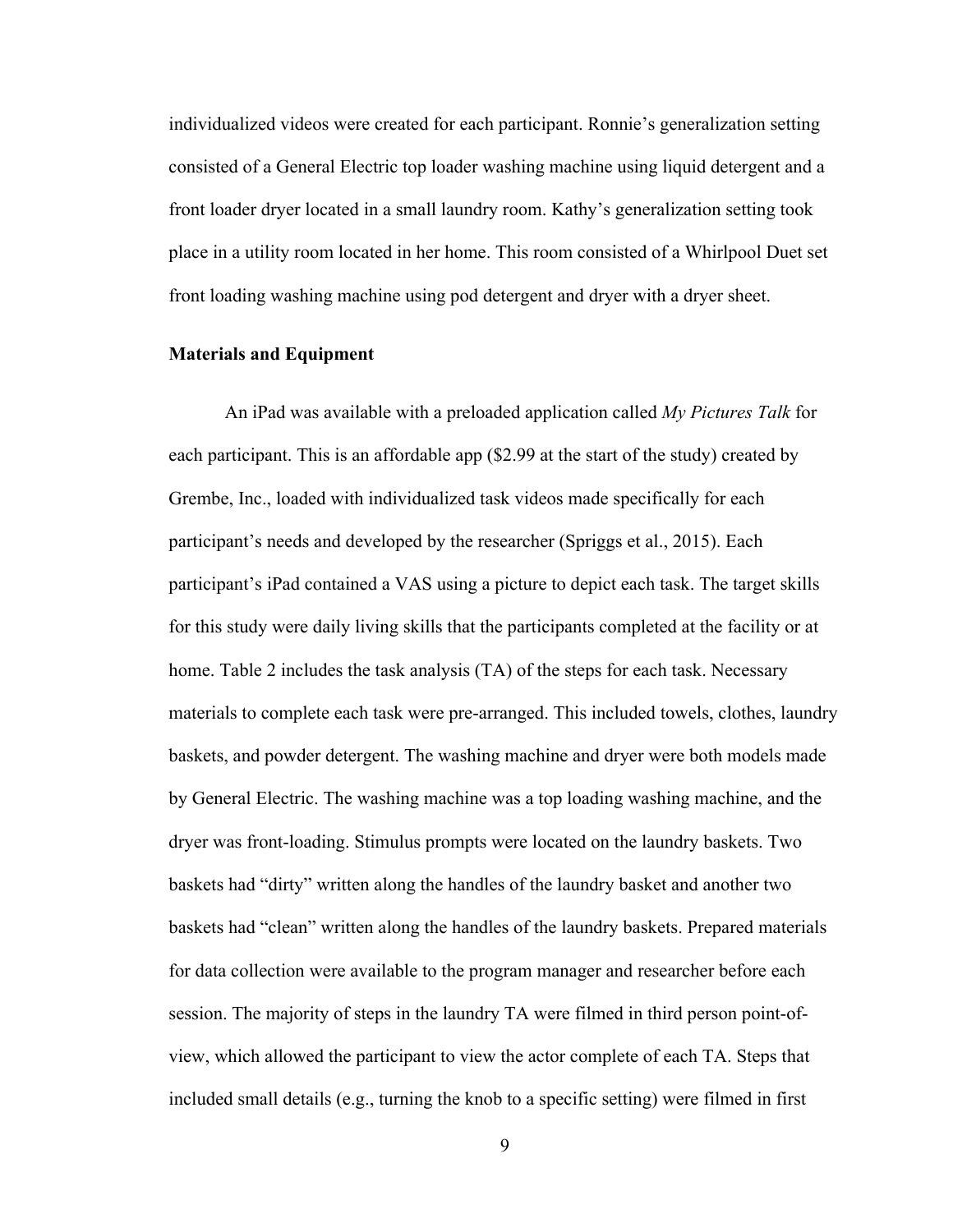individualized videos were created for each participant. Ronnie's generalization setting consisted of a General Electric top loader washing machine using liquid detergent and a front loader dryer located in a small laundry room. Kathy's generalization setting took place in a utility room located in her home. This room consisted of a Whirlpool Duet set front loading washing machine using pod detergent and dryer with a dryer sheet.

#### **Materials and Equipment**

An iPad was available with a preloaded application called *My Pictures Talk* for each participant. This is an affordable app (\$2.99 at the start of the study) created by Grembe, Inc., loaded with individualized task videos made specifically for each participant's needs and developed by the researcher (Spriggs et al., 2015). Each participant's iPad contained a VAS using a picture to depict each task. The target skills for this study were daily living skills that the participants completed at the facility or at home. Table 2 includes the task analysis (TA) of the steps for each task. Necessary materials to complete each task were pre-arranged. This included towels, clothes, laundry baskets, and powder detergent. The washing machine and dryer were both models made by General Electric. The washing machine was a top loading washing machine, and the dryer was front-loading. Stimulus prompts were located on the laundry baskets. Two baskets had "dirty" written along the handles of the laundry basket and another two baskets had "clean" written along the handles of the laundry baskets. Prepared materials for data collection were available to the program manager and researcher before each session. The majority of steps in the laundry TA were filmed in third person point-ofview, which allowed the participant to view the actor complete of each TA. Steps that included small details (e.g., turning the knob to a specific setting) were filmed in first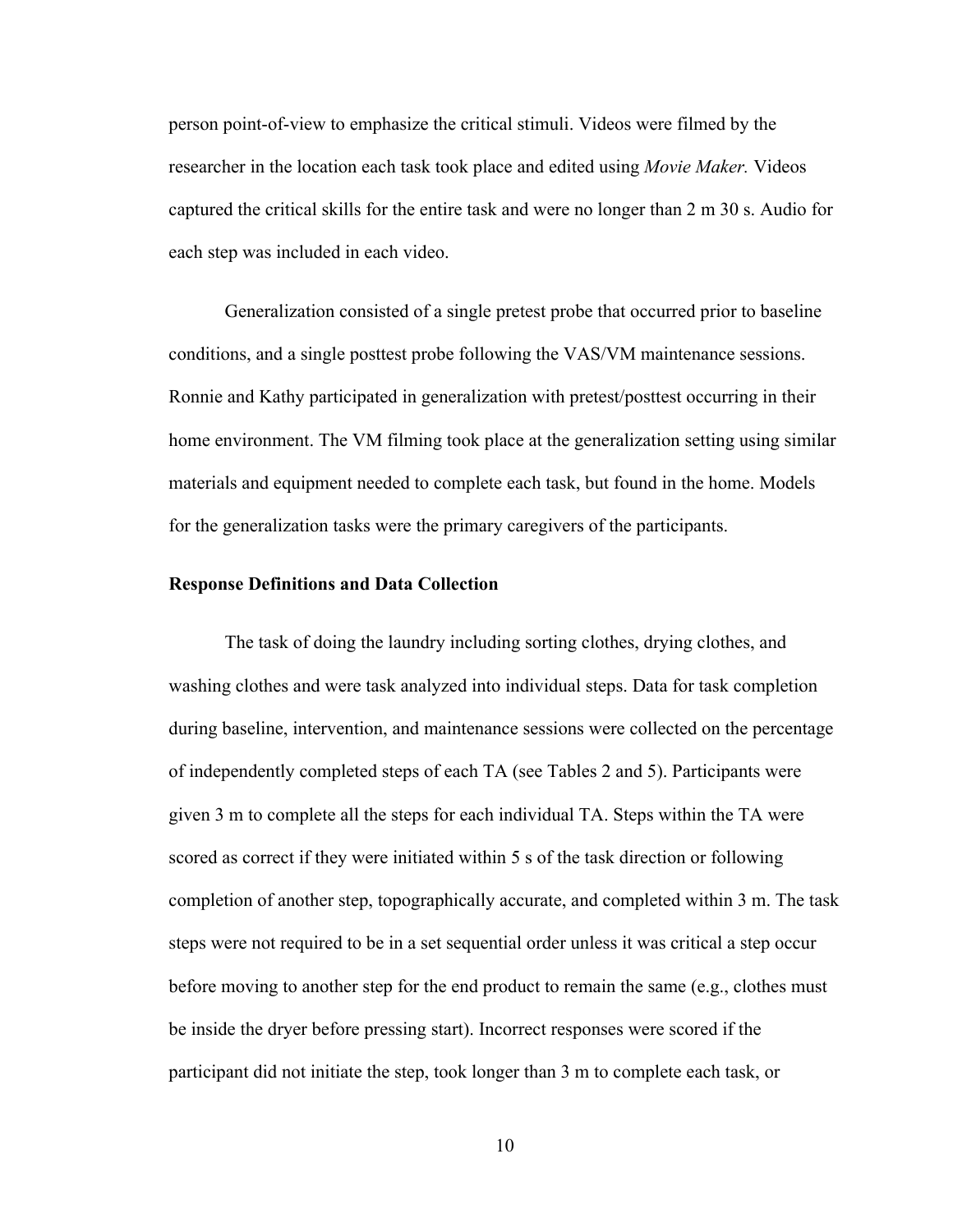person point-of-view to emphasize the critical stimuli. Videos were filmed by the researcher in the location each task took place and edited using *Movie Maker.* Videos captured the critical skills for the entire task and were no longer than 2 m 30 s. Audio for each step was included in each video.

Generalization consisted of a single pretest probe that occurred prior to baseline conditions, and a single posttest probe following the VAS/VM maintenance sessions. Ronnie and Kathy participated in generalization with pretest/posttest occurring in their home environment. The VM filming took place at the generalization setting using similar materials and equipment needed to complete each task, but found in the home. Models for the generalization tasks were the primary caregivers of the participants.

#### **Response Definitions and Data Collection**

The task of doing the laundry including sorting clothes, drying clothes, and washing clothes and were task analyzed into individual steps. Data for task completion during baseline, intervention, and maintenance sessions were collected on the percentage of independently completed steps of each TA (see Tables 2 and 5). Participants were given 3 m to complete all the steps for each individual TA. Steps within the TA were scored as correct if they were initiated within 5 s of the task direction or following completion of another step, topographically accurate, and completed within 3 m. The task steps were not required to be in a set sequential order unless it was critical a step occur before moving to another step for the end product to remain the same (e.g., clothes must be inside the dryer before pressing start). Incorrect responses were scored if the participant did not initiate the step, took longer than 3 m to complete each task, or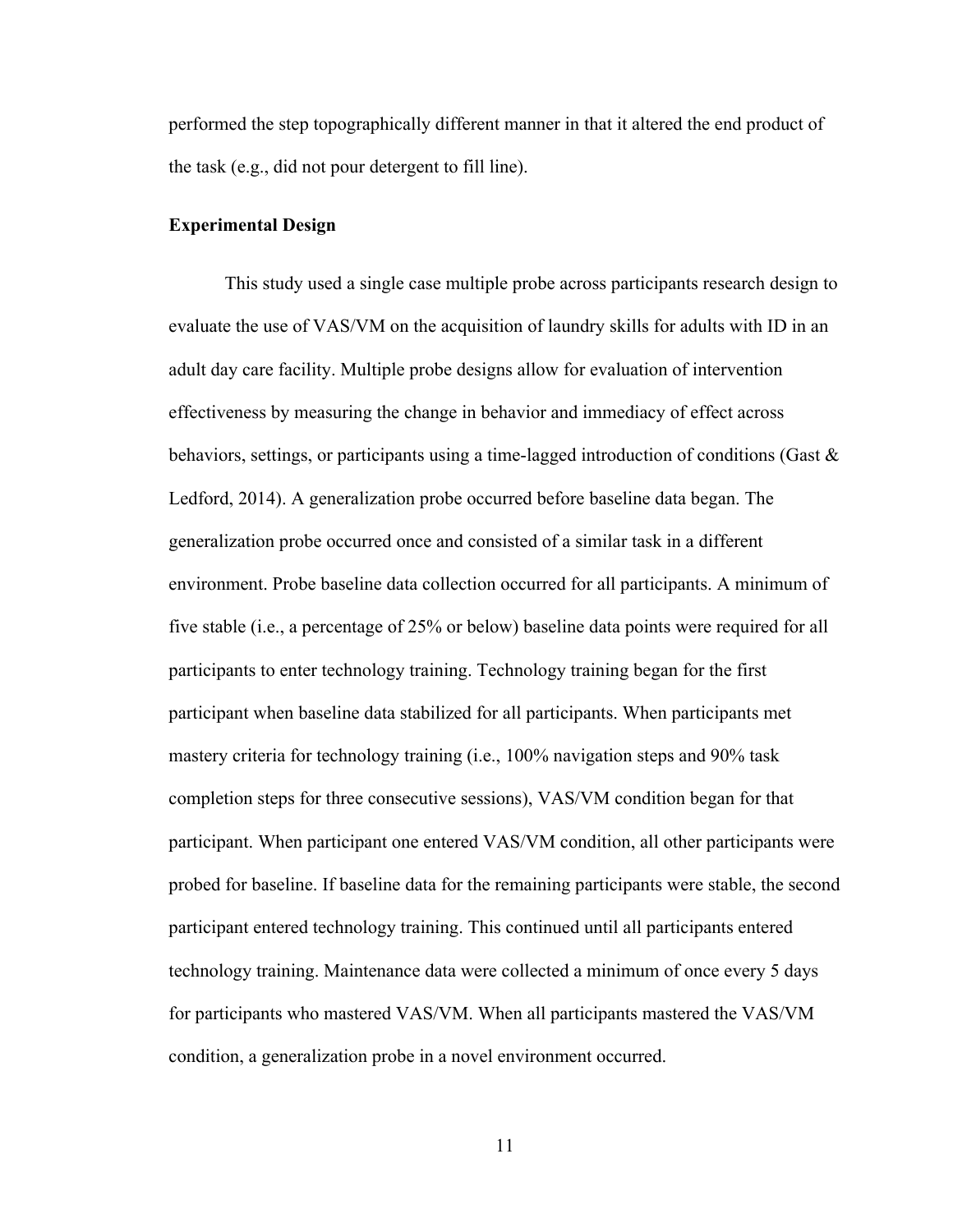performed the step topographically different manner in that it altered the end product of the task (e.g., did not pour detergent to fill line).

#### **Experimental Design**

This study used a single case multiple probe across participants research design to evaluate the use of VAS/VM on the acquisition of laundry skills for adults with ID in an adult day care facility. Multiple probe designs allow for evaluation of intervention effectiveness by measuring the change in behavior and immediacy of effect across behaviors, settings, or participants using a time-lagged introduction of conditions (Gast  $\&$ Ledford, 2014). A generalization probe occurred before baseline data began. The generalization probe occurred once and consisted of a similar task in a different environment. Probe baseline data collection occurred for all participants. A minimum of five stable (i.e., a percentage of 25% or below) baseline data points were required for all participants to enter technology training. Technology training began for the first participant when baseline data stabilized for all participants. When participants met mastery criteria for technology training (i.e., 100% navigation steps and 90% task completion steps for three consecutive sessions), VAS/VM condition began for that participant. When participant one entered VAS/VM condition, all other participants were probed for baseline. If baseline data for the remaining participants were stable, the second participant entered technology training. This continued until all participants entered technology training. Maintenance data were collected a minimum of once every 5 days for participants who mastered VAS/VM. When all participants mastered the VAS/VM condition, a generalization probe in a novel environment occurred.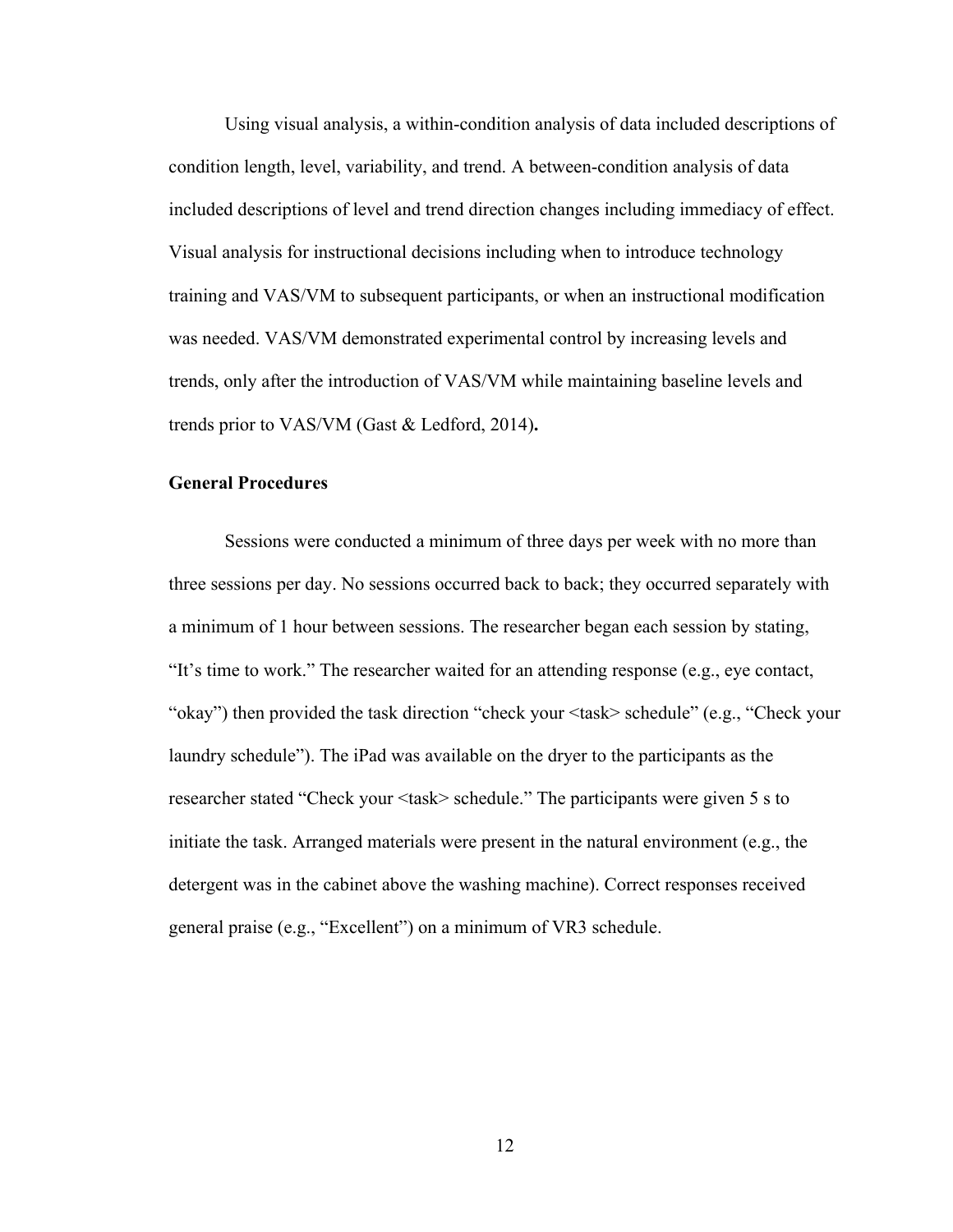Using visual analysis, a within-condition analysis of data included descriptions of condition length, level, variability, and trend. A between-condition analysis of data included descriptions of level and trend direction changes including immediacy of effect. Visual analysis for instructional decisions including when to introduce technology training and VAS/VM to subsequent participants, or when an instructional modification was needed. VAS/VM demonstrated experimental control by increasing levels and trends, only after the introduction of VAS/VM while maintaining baseline levels and trends prior to VAS/VM (Gast & Ledford, 2014)**.**

### **General Procedures**

Sessions were conducted a minimum of three days per week with no more than three sessions per day. No sessions occurred back to back; they occurred separately with a minimum of 1 hour between sessions. The researcher began each session by stating, "It's time to work." The researcher waited for an attending response (e.g., eye contact, "okay") then provided the task direction "check your <task> schedule" (e.g., "Check your laundry schedule"). The iPad was available on the dryer to the participants as the researcher stated "Check your <task> schedule." The participants were given 5 s to initiate the task. Arranged materials were present in the natural environment (e.g., the detergent was in the cabinet above the washing machine). Correct responses received general praise (e.g., "Excellent") on a minimum of VR3 schedule.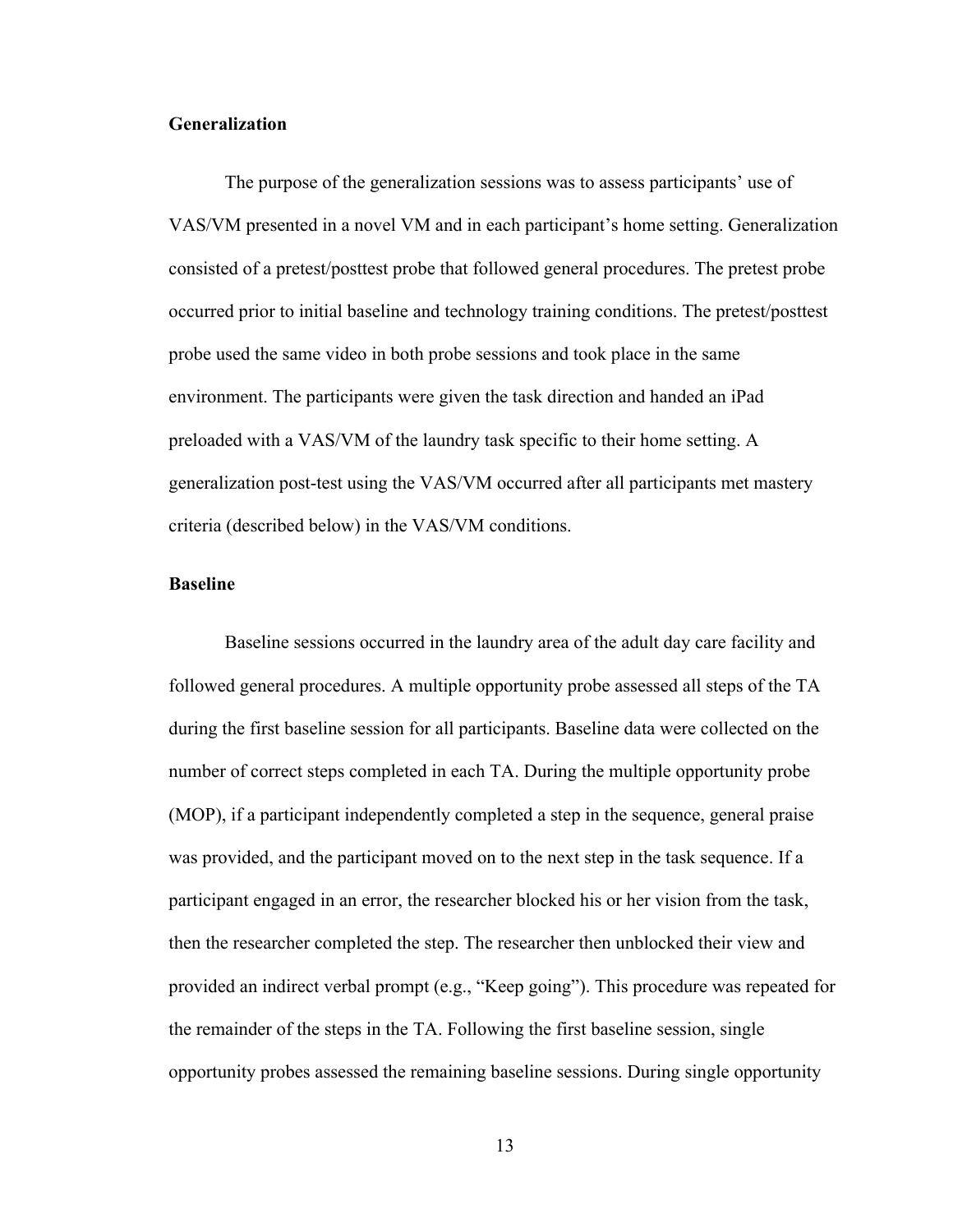#### **Generalization**

The purpose of the generalization sessions was to assess participants' use of VAS/VM presented in a novel VM and in each participant's home setting. Generalization consisted of a pretest/posttest probe that followed general procedures. The pretest probe occurred prior to initial baseline and technology training conditions. The pretest/posttest probe used the same video in both probe sessions and took place in the same environment. The participants were given the task direction and handed an iPad preloaded with a VAS/VM of the laundry task specific to their home setting. A generalization post-test using the VAS/VM occurred after all participants met mastery criteria (described below) in the VAS/VM conditions.

#### **Baseline**

Baseline sessions occurred in the laundry area of the adult day care facility and followed general procedures. A multiple opportunity probe assessed all steps of the TA during the first baseline session for all participants. Baseline data were collected on the number of correct steps completed in each TA. During the multiple opportunity probe (MOP), if a participant independently completed a step in the sequence, general praise was provided, and the participant moved on to the next step in the task sequence. If a participant engaged in an error, the researcher blocked his or her vision from the task, then the researcher completed the step. The researcher then unblocked their view and provided an indirect verbal prompt (e.g., "Keep going"). This procedure was repeated for the remainder of the steps in the TA. Following the first baseline session, single opportunity probes assessed the remaining baseline sessions. During single opportunity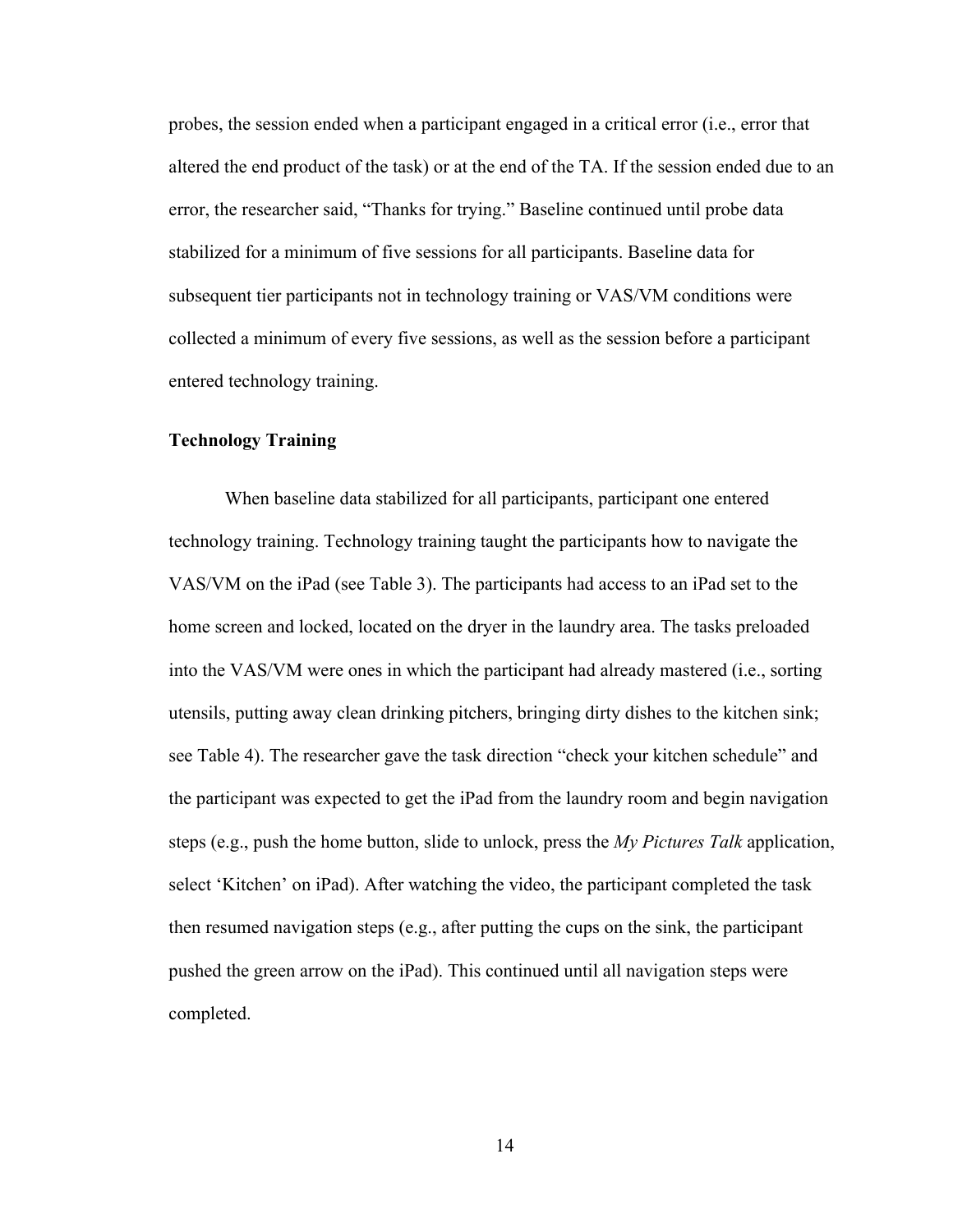probes, the session ended when a participant engaged in a critical error (i.e., error that altered the end product of the task) or at the end of the TA. If the session ended due to an error, the researcher said, "Thanks for trying." Baseline continued until probe data stabilized for a minimum of five sessions for all participants. Baseline data for subsequent tier participants not in technology training or VAS/VM conditions were collected a minimum of every five sessions, as well as the session before a participant entered technology training.

#### **Technology Training**

When baseline data stabilized for all participants, participant one entered technology training. Technology training taught the participants how to navigate the VAS/VM on the iPad (see Table 3). The participants had access to an iPad set to the home screen and locked, located on the dryer in the laundry area. The tasks preloaded into the VAS/VM were ones in which the participant had already mastered (i.e., sorting utensils, putting away clean drinking pitchers, bringing dirty dishes to the kitchen sink; see Table 4). The researcher gave the task direction "check your kitchen schedule" and the participant was expected to get the iPad from the laundry room and begin navigation steps (e.g., push the home button, slide to unlock, press the *My Pictures Talk* application, select 'Kitchen' on iPad). After watching the video, the participant completed the task then resumed navigation steps (e.g., after putting the cups on the sink, the participant pushed the green arrow on the iPad). This continued until all navigation steps were completed.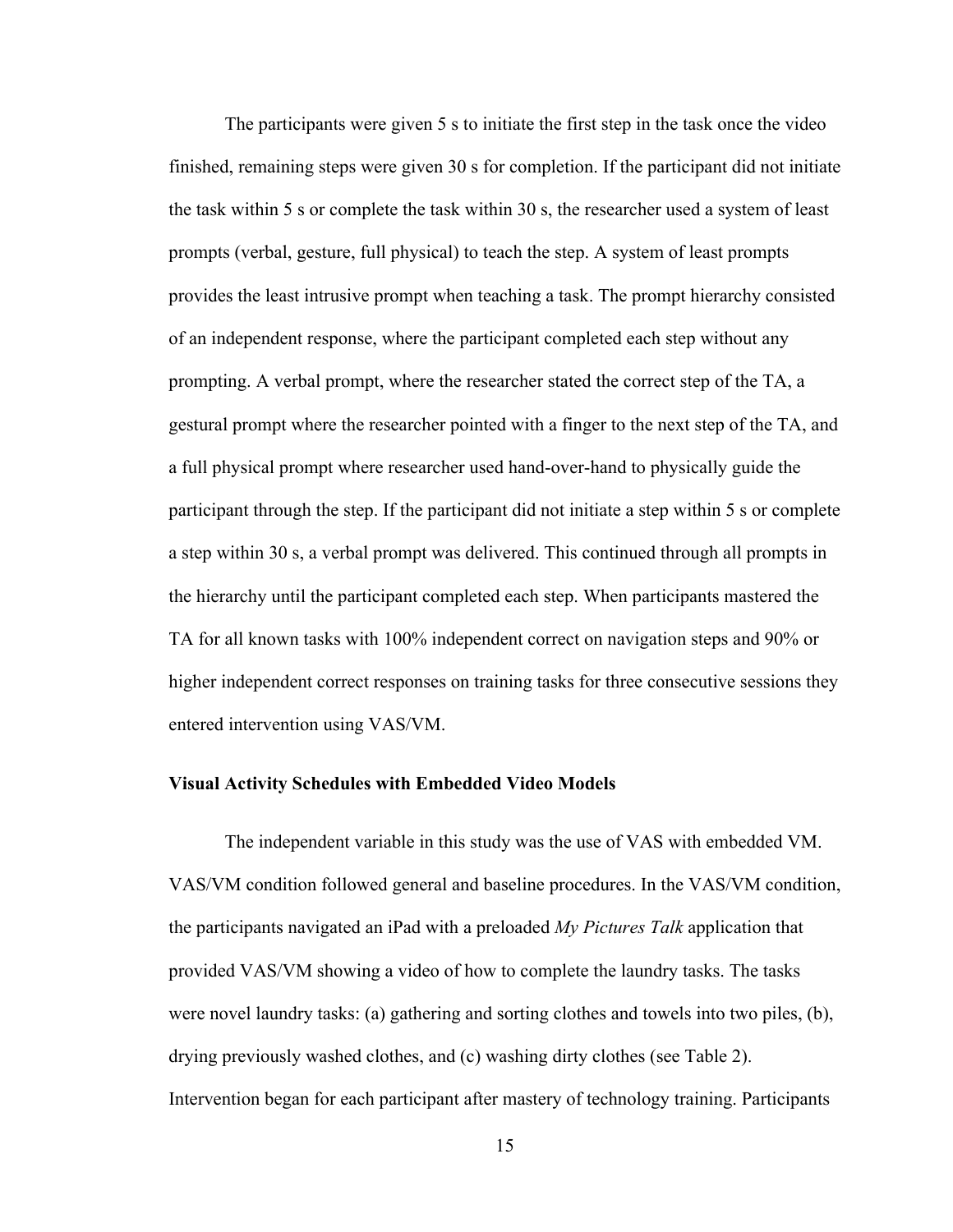The participants were given 5 s to initiate the first step in the task once the video finished, remaining steps were given 30 s for completion. If the participant did not initiate the task within 5 s or complete the task within 30 s, the researcher used a system of least prompts (verbal, gesture, full physical) to teach the step. A system of least prompts provides the least intrusive prompt when teaching a task. The prompt hierarchy consisted of an independent response, where the participant completed each step without any prompting. A verbal prompt, where the researcher stated the correct step of the TA, a gestural prompt where the researcher pointed with a finger to the next step of the TA, and a full physical prompt where researcher used hand-over-hand to physically guide the participant through the step. If the participant did not initiate a step within 5 s or complete a step within 30 s, a verbal prompt was delivered. This continued through all prompts in the hierarchy until the participant completed each step. When participants mastered the TA for all known tasks with 100% independent correct on navigation steps and 90% or higher independent correct responses on training tasks for three consecutive sessions they entered intervention using VAS/VM.

#### **Visual Activity Schedules with Embedded Video Models**

The independent variable in this study was the use of VAS with embedded VM. VAS/VM condition followed general and baseline procedures. In the VAS/VM condition, the participants navigated an iPad with a preloaded *My Pictures Talk* application that provided VAS/VM showing a video of how to complete the laundry tasks. The tasks were novel laundry tasks: (a) gathering and sorting clothes and towels into two piles, (b), drying previously washed clothes, and (c) washing dirty clothes (see Table 2). Intervention began for each participant after mastery of technology training. Participants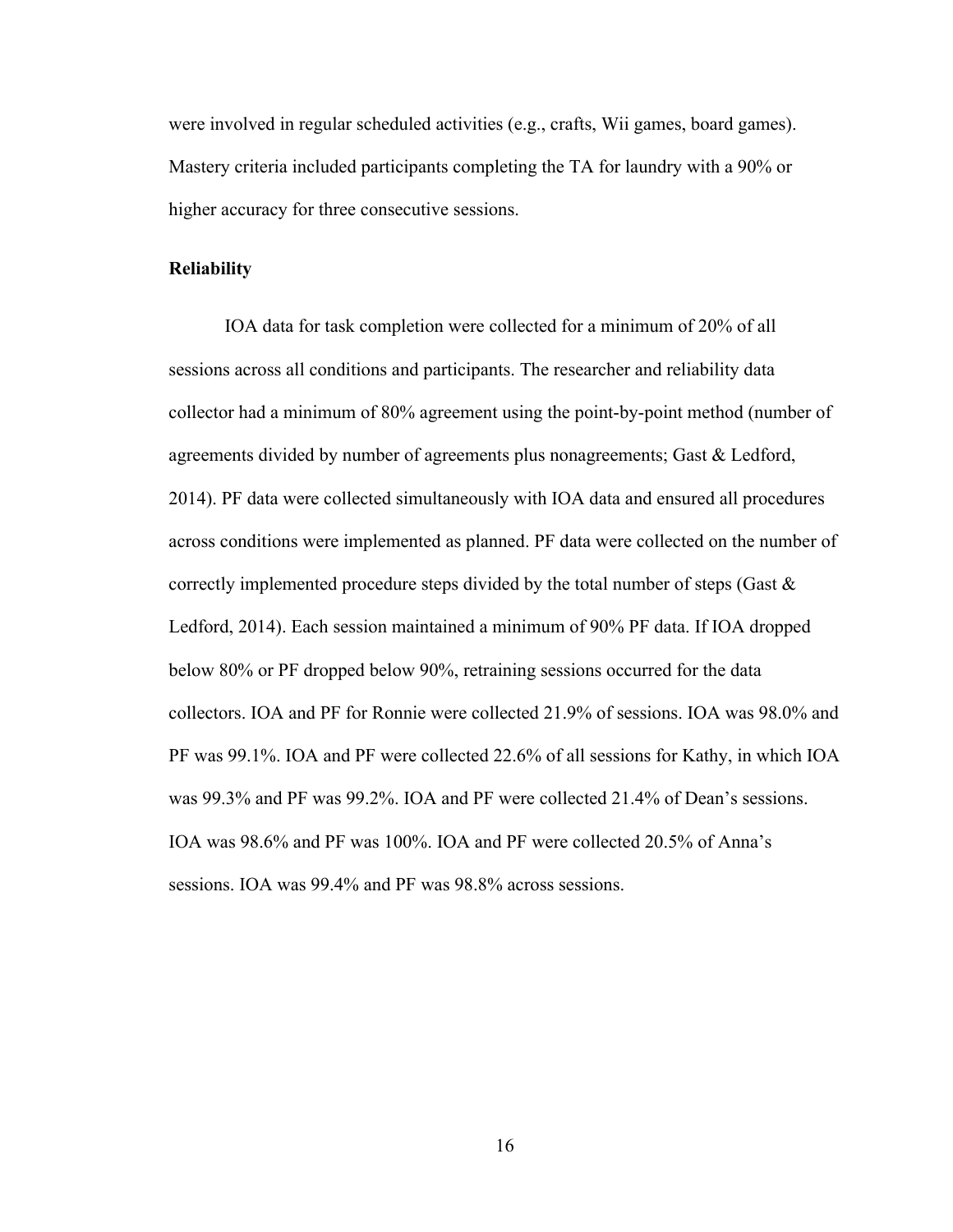were involved in regular scheduled activities (e.g., crafts, Wii games, board games). Mastery criteria included participants completing the TA for laundry with a 90% or higher accuracy for three consecutive sessions.

#### **Reliability**

IOA data for task completion were collected for a minimum of 20% of all sessions across all conditions and participants. The researcher and reliability data collector had a minimum of 80% agreement using the point-by-point method (number of agreements divided by number of agreements plus nonagreements; Gast & Ledford, 2014). PF data were collected simultaneously with IOA data and ensured all procedures across conditions were implemented as planned. PF data were collected on the number of correctly implemented procedure steps divided by the total number of steps (Gast & Ledford, 2014). Each session maintained a minimum of 90% PF data. If IOA dropped below 80% or PF dropped below 90%, retraining sessions occurred for the data collectors. IOA and PF for Ronnie were collected 21.9% of sessions. IOA was 98.0% and PF was 99.1%. IOA and PF were collected 22.6% of all sessions for Kathy, in which IOA was 99.3% and PF was 99.2%. IOA and PF were collected 21.4% of Dean's sessions. IOA was 98.6% and PF was 100%. IOA and PF were collected 20.5% of Anna's sessions. IOA was 99.4% and PF was 98.8% across sessions.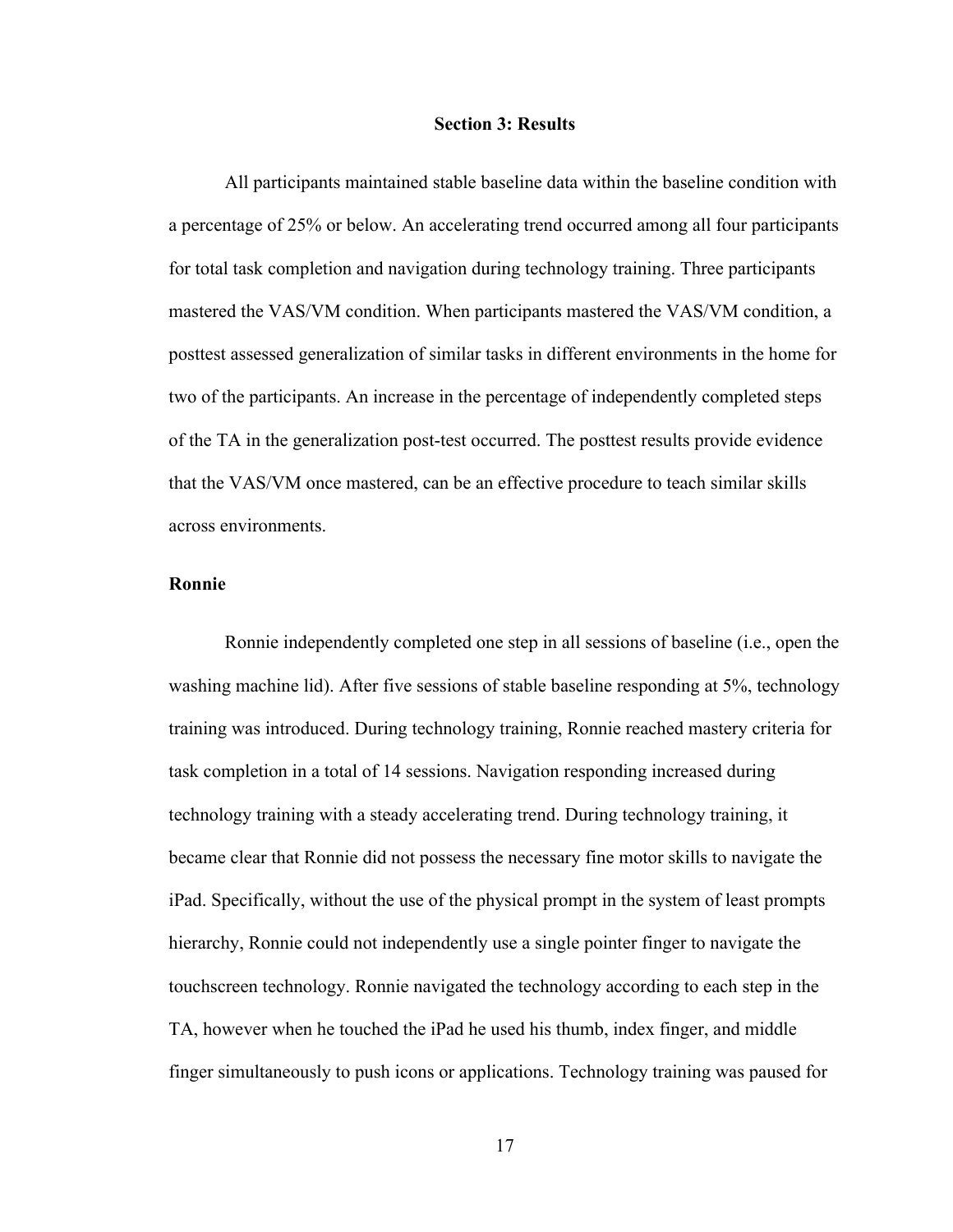#### **Section 3: Results**

All participants maintained stable baseline data within the baseline condition with a percentage of 25% or below. An accelerating trend occurred among all four participants for total task completion and navigation during technology training. Three participants mastered the VAS/VM condition. When participants mastered the VAS/VM condition, a posttest assessed generalization of similar tasks in different environments in the home for two of the participants. An increase in the percentage of independently completed steps of the TA in the generalization post-test occurred. The posttest results provide evidence that the VAS/VM once mastered, can be an effective procedure to teach similar skills across environments.

#### **Ronnie**

Ronnie independently completed one step in all sessions of baseline (i.e., open the washing machine lid). After five sessions of stable baseline responding at 5%, technology training was introduced. During technology training, Ronnie reached mastery criteria for task completion in a total of 14 sessions. Navigation responding increased during technology training with a steady accelerating trend. During technology training, it became clear that Ronnie did not possess the necessary fine motor skills to navigate the iPad. Specifically, without the use of the physical prompt in the system of least prompts hierarchy, Ronnie could not independently use a single pointer finger to navigate the touchscreen technology. Ronnie navigated the technology according to each step in the TA, however when he touched the iPad he used his thumb, index finger, and middle finger simultaneously to push icons or applications. Technology training was paused for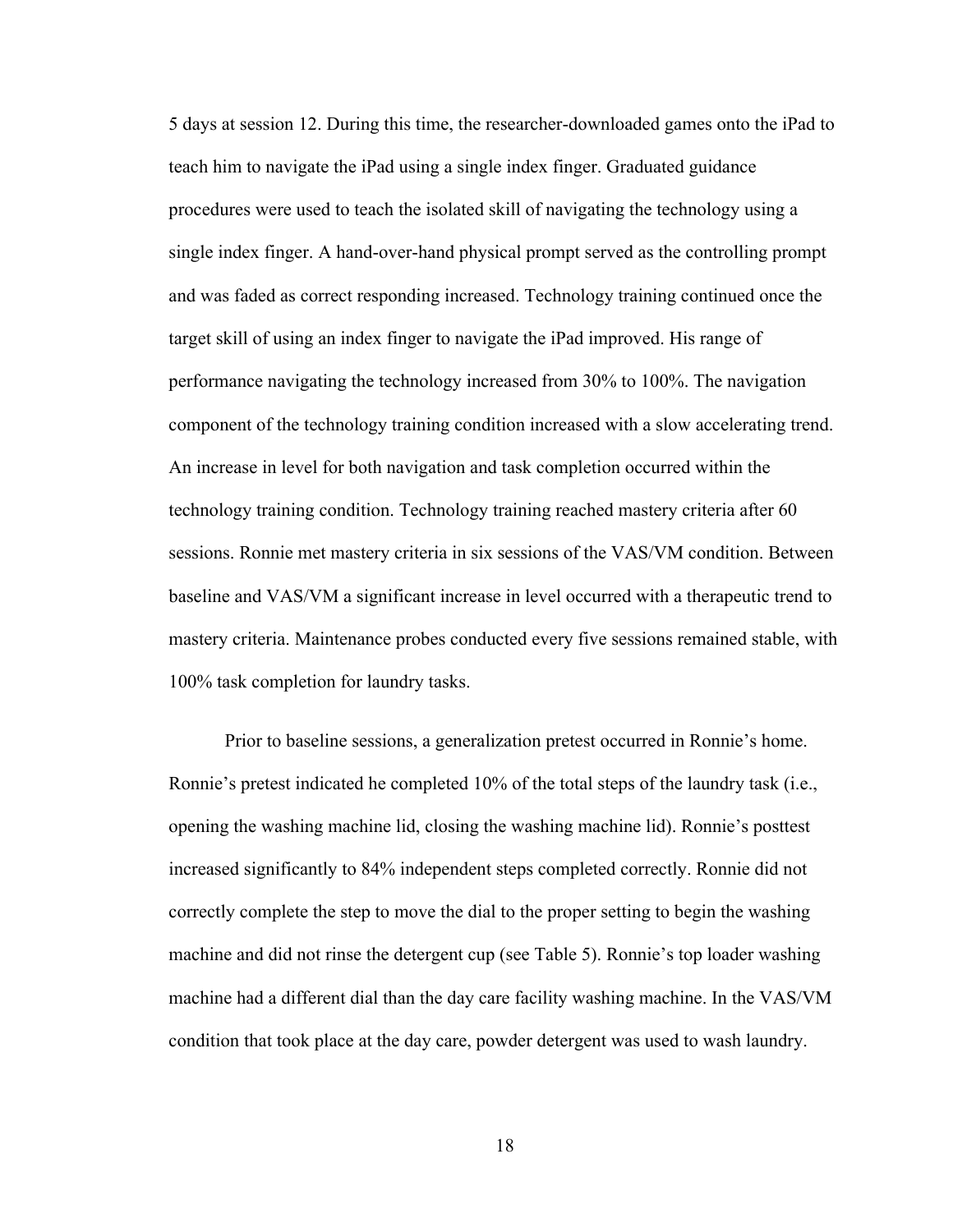5 days at session 12. During this time, the researcher-downloaded games onto the iPad to teach him to navigate the iPad using a single index finger. Graduated guidance procedures were used to teach the isolated skill of navigating the technology using a single index finger. A hand-over-hand physical prompt served as the controlling prompt and was faded as correct responding increased. Technology training continued once the target skill of using an index finger to navigate the iPad improved. His range of performance navigating the technology increased from 30% to 100%. The navigation component of the technology training condition increased with a slow accelerating trend. An increase in level for both navigation and task completion occurred within the technology training condition. Technology training reached mastery criteria after 60 sessions. Ronnie met mastery criteria in six sessions of the VAS/VM condition. Between baseline and VAS/VM a significant increase in level occurred with a therapeutic trend to mastery criteria. Maintenance probes conducted every five sessions remained stable, with 100% task completion for laundry tasks.

Prior to baseline sessions, a generalization pretest occurred in Ronnie's home. Ronnie's pretest indicated he completed 10% of the total steps of the laundry task (i.e., opening the washing machine lid, closing the washing machine lid). Ronnie's posttest increased significantly to 84% independent steps completed correctly. Ronnie did not correctly complete the step to move the dial to the proper setting to begin the washing machine and did not rinse the detergent cup (see Table 5). Ronnie's top loader washing machine had a different dial than the day care facility washing machine. In the VAS/VM condition that took place at the day care, powder detergent was used to wash laundry.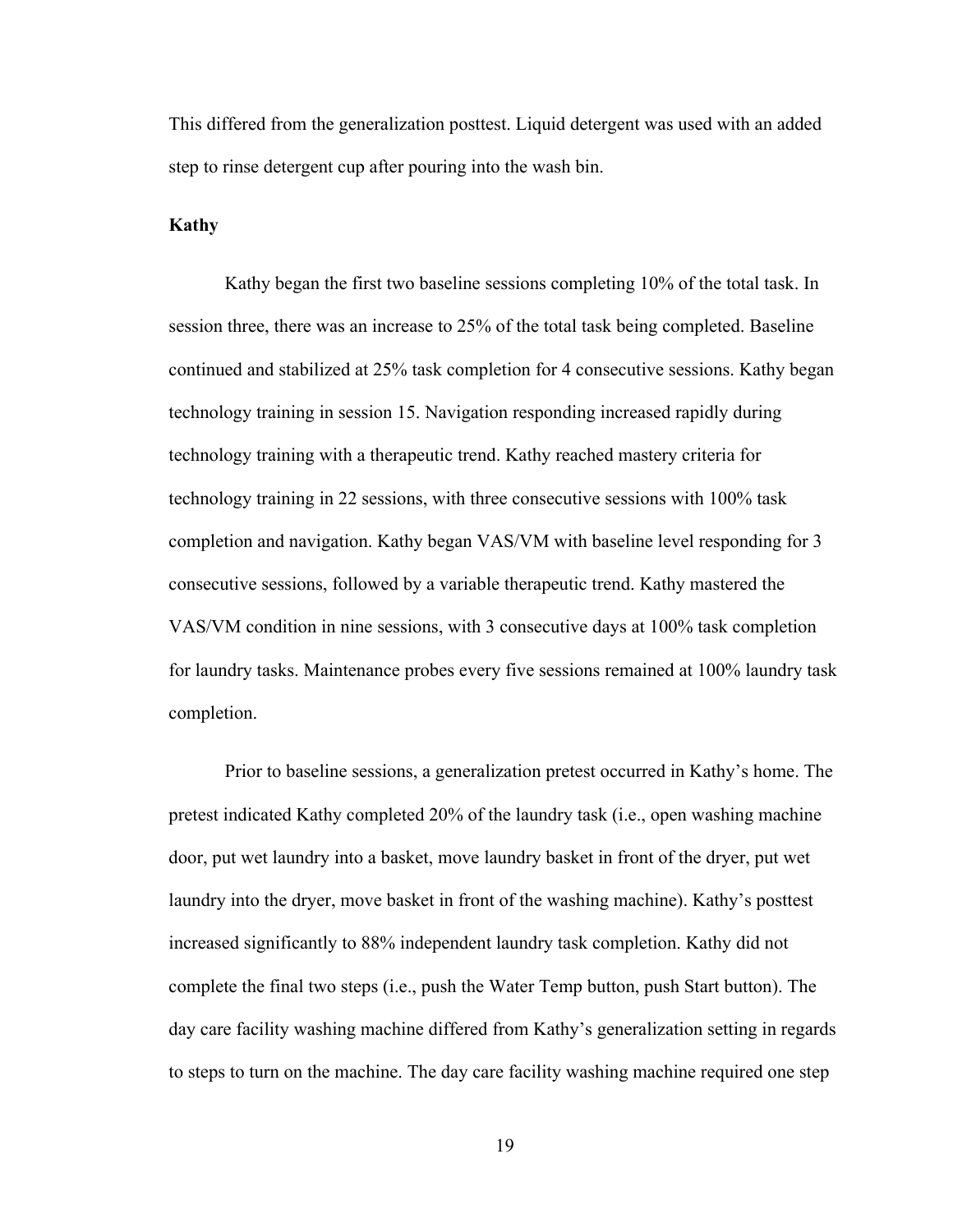This differed from the generalization posttest. Liquid detergent was used with an added step to rinse detergent cup after pouring into the wash bin.

#### **Kathy**

Kathy began the first two baseline sessions completing 10% of the total task. In session three, there was an increase to 25% of the total task being completed. Baseline continued and stabilized at 25% task completion for 4 consecutive sessions. Kathy began technology training in session 15. Navigation responding increased rapidly during technology training with a therapeutic trend. Kathy reached mastery criteria for technology training in 22 sessions, with three consecutive sessions with 100% task completion and navigation. Kathy began VAS/VM with baseline level responding for 3 consecutive sessions, followed by a variable therapeutic trend. Kathy mastered the VAS/VM condition in nine sessions, with 3 consecutive days at 100% task completion for laundry tasks. Maintenance probes every five sessions remained at 100% laundry task completion.

Prior to baseline sessions, a generalization pretest occurred in Kathy's home. The pretest indicated Kathy completed 20% of the laundry task (i.e., open washing machine door, put wet laundry into a basket, move laundry basket in front of the dryer, put wet laundry into the dryer, move basket in front of the washing machine). Kathy's posttest increased significantly to 88% independent laundry task completion. Kathy did not complete the final two steps (i.e., push the Water Temp button, push Start button). The day care facility washing machine differed from Kathy's generalization setting in regards to steps to turn on the machine. The day care facility washing machine required one step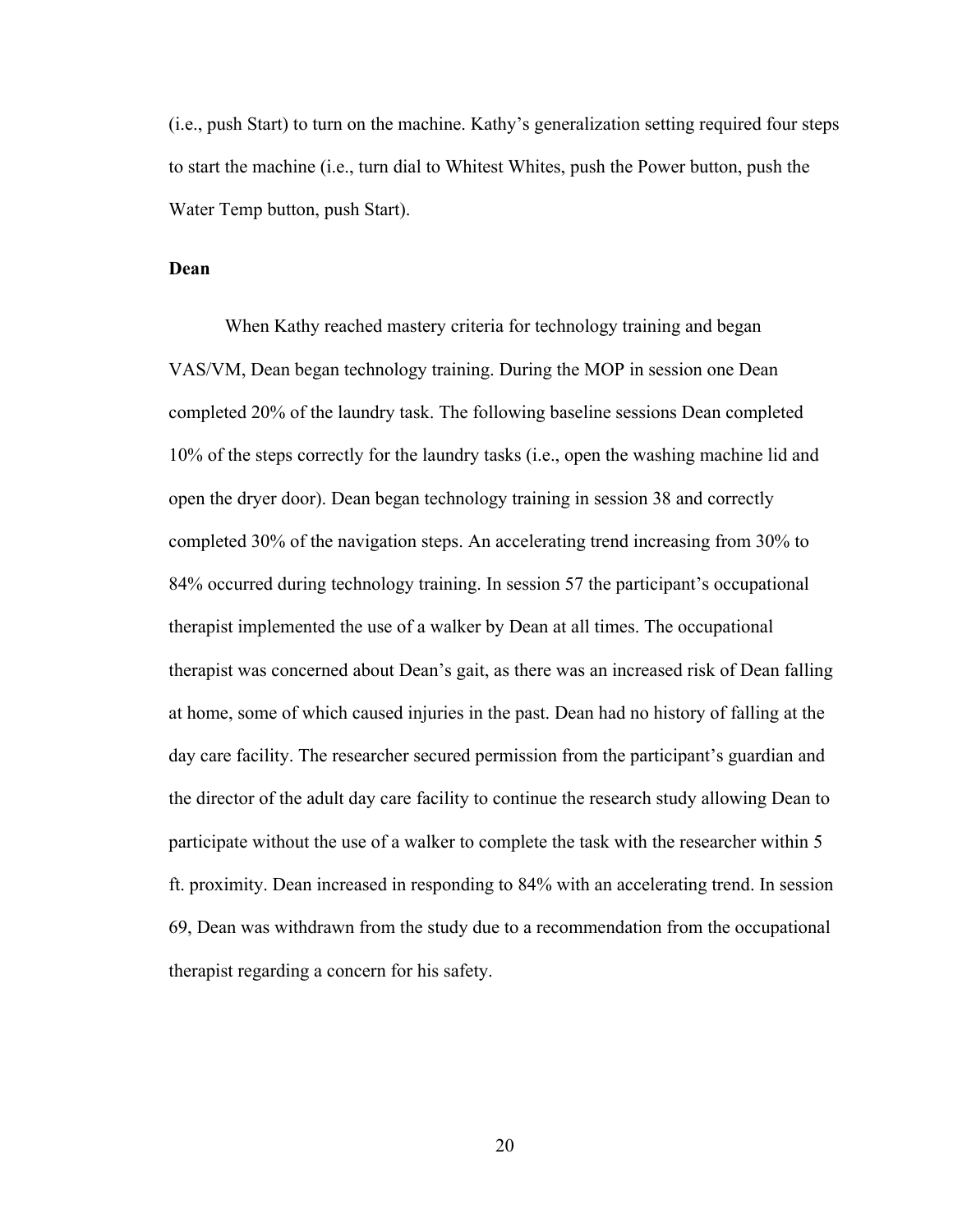(i.e., push Start) to turn on the machine. Kathy's generalization setting required four steps to start the machine (i.e., turn dial to Whitest Whites, push the Power button, push the Water Temp button, push Start).

#### **Dean**

When Kathy reached mastery criteria for technology training and began VAS/VM, Dean began technology training. During the MOP in session one Dean completed 20% of the laundry task. The following baseline sessions Dean completed 10% of the steps correctly for the laundry tasks (i.e., open the washing machine lid and open the dryer door). Dean began technology training in session 38 and correctly completed 30% of the navigation steps. An accelerating trend increasing from 30% to 84% occurred during technology training. In session 57 the participant's occupational therapist implemented the use of a walker by Dean at all times. The occupational therapist was concerned about Dean's gait, as there was an increased risk of Dean falling at home, some of which caused injuries in the past. Dean had no history of falling at the day care facility. The researcher secured permission from the participant's guardian and the director of the adult day care facility to continue the research study allowing Dean to participate without the use of a walker to complete the task with the researcher within 5 ft. proximity. Dean increased in responding to 84% with an accelerating trend. In session 69, Dean was withdrawn from the study due to a recommendation from the occupational therapist regarding a concern for his safety.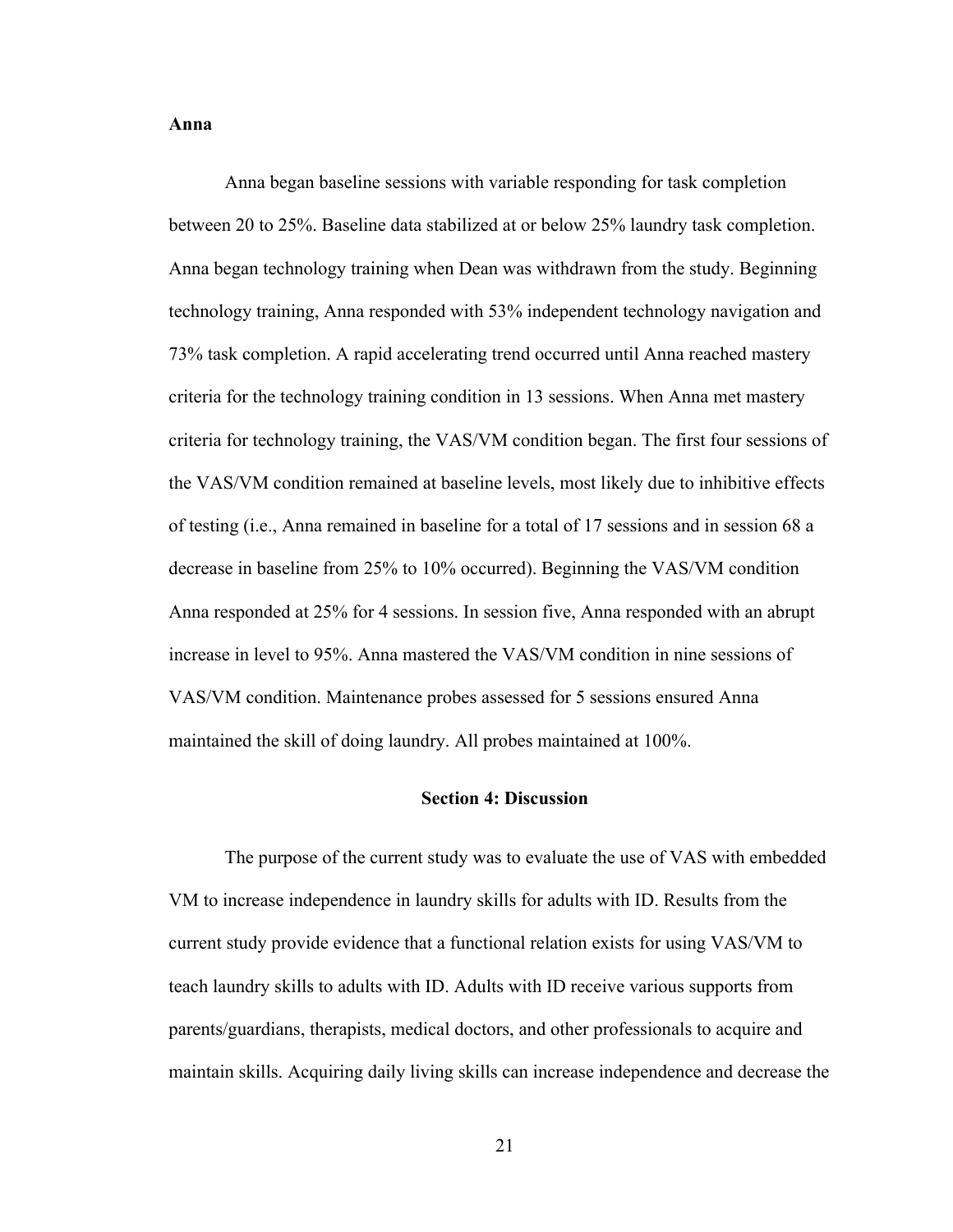#### **Anna**

Anna began baseline sessions with variable responding for task completion between 20 to 25%. Baseline data stabilized at or below 25% laundry task completion. Anna began technology training when Dean was withdrawn from the study. Beginning technology training, Anna responded with 53% independent technology navigation and 73% task completion. A rapid accelerating trend occurred until Anna reached mastery criteria for the technology training condition in 13 sessions. When Anna met mastery criteria for technology training, the VAS/VM condition began. The first four sessions of the VAS/VM condition remained at baseline levels, most likely due to inhibitive effects of testing (i.e., Anna remained in baseline for a total of 17 sessions and in session 68 a decrease in baseline from 25% to 10% occurred). Beginning the VAS/VM condition Anna responded at 25% for 4 sessions. In session five, Anna responded with an abrupt increase in level to 95%. Anna mastered the VAS/VM condition in nine sessions of VAS/VM condition. Maintenance probes assessed for 5 sessions ensured Anna maintained the skill of doing laundry. All probes maintained at 100%.

#### **Section 4: Discussion**

The purpose of the current study was to evaluate the use of VAS with embedded VM to increase independence in laundry skills for adults with ID. Results from the current study provide evidence that a functional relation exists for using VAS/VM to teach laundry skills to adults with ID. Adults with ID receive various supports from parents/guardians, therapists, medical doctors, and other professionals to acquire and maintain skills. Acquiring daily living skills can increase independence and decrease the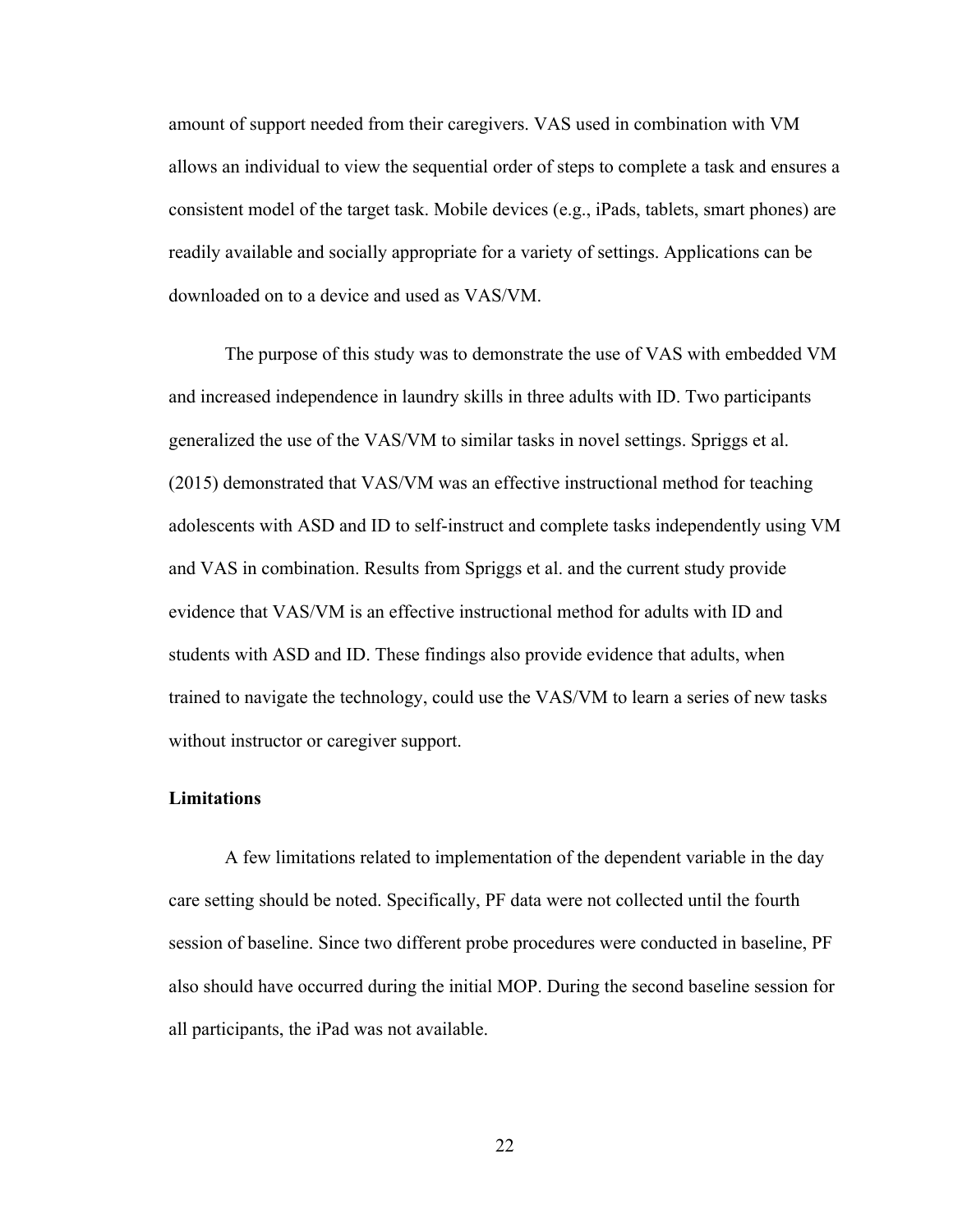amount of support needed from their caregivers. VAS used in combination with VM allows an individual to view the sequential order of steps to complete a task and ensures a consistent model of the target task. Mobile devices (e.g., iPads, tablets, smart phones) are readily available and socially appropriate for a variety of settings. Applications can be downloaded on to a device and used as VAS/VM.

The purpose of this study was to demonstrate the use of VAS with embedded VM and increased independence in laundry skills in three adults with ID. Two participants generalized the use of the VAS/VM to similar tasks in novel settings. Spriggs et al. (2015) demonstrated that VAS/VM was an effective instructional method for teaching adolescents with ASD and ID to self-instruct and complete tasks independently using VM and VAS in combination. Results from Spriggs et al. and the current study provide evidence that VAS/VM is an effective instructional method for adults with ID and students with ASD and ID. These findings also provide evidence that adults, when trained to navigate the technology, could use the VAS/VM to learn a series of new tasks without instructor or caregiver support.

### **Limitations**

A few limitations related to implementation of the dependent variable in the day care setting should be noted. Specifically, PF data were not collected until the fourth session of baseline. Since two different probe procedures were conducted in baseline, PF also should have occurred during the initial MOP. During the second baseline session for all participants, the iPad was not available.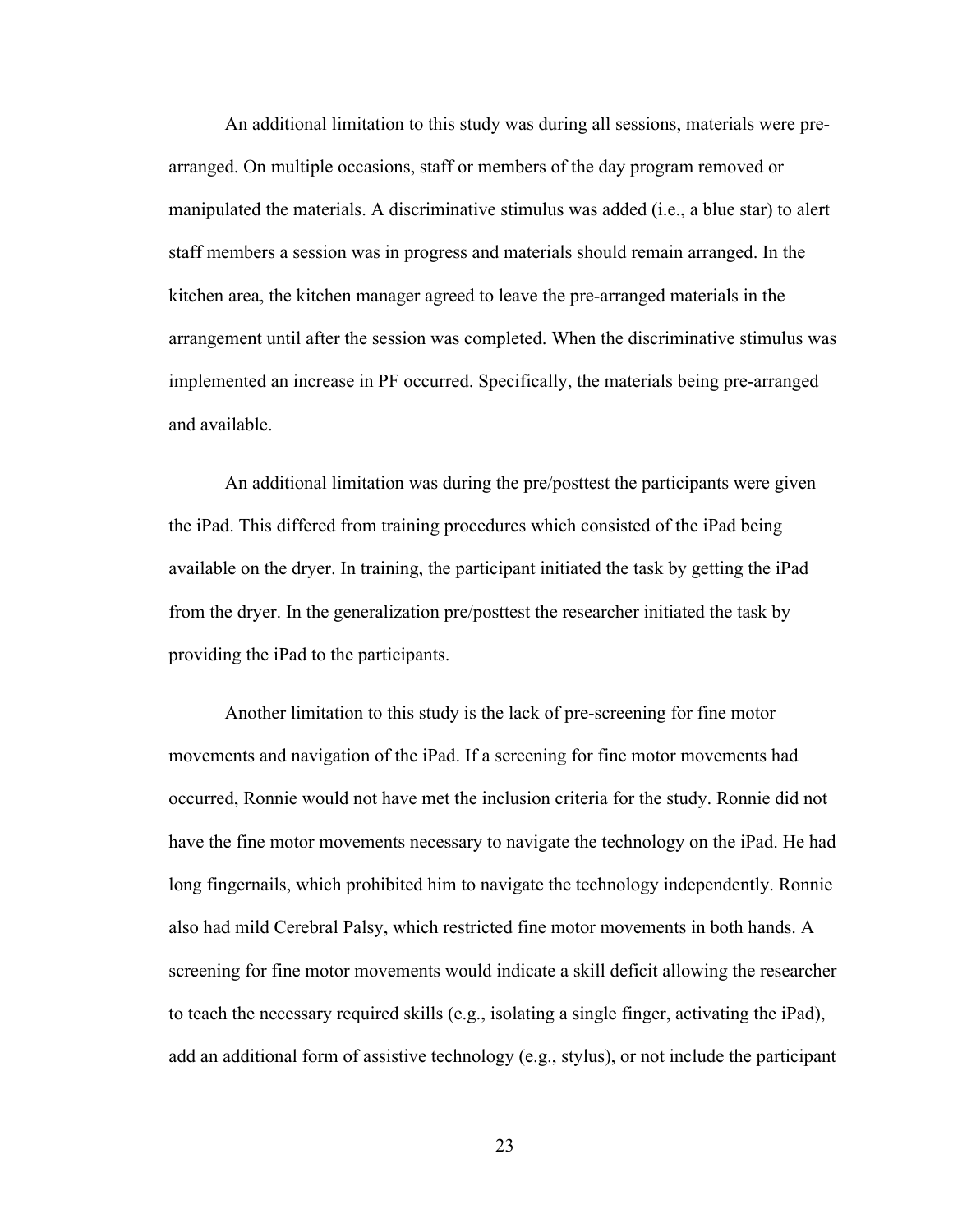An additional limitation to this study was during all sessions, materials were prearranged. On multiple occasions, staff or members of the day program removed or manipulated the materials. A discriminative stimulus was added (i.e., a blue star) to alert staff members a session was in progress and materials should remain arranged. In the kitchen area, the kitchen manager agreed to leave the pre-arranged materials in the arrangement until after the session was completed. When the discriminative stimulus was implemented an increase in PF occurred. Specifically, the materials being pre-arranged and available.

An additional limitation was during the pre/posttest the participants were given the iPad. This differed from training procedures which consisted of the iPad being available on the dryer. In training, the participant initiated the task by getting the iPad from the dryer. In the generalization pre/posttest the researcher initiated the task by providing the iPad to the participants.

Another limitation to this study is the lack of pre-screening for fine motor movements and navigation of the iPad. If a screening for fine motor movements had occurred, Ronnie would not have met the inclusion criteria for the study. Ronnie did not have the fine motor movements necessary to navigate the technology on the iPad. He had long fingernails, which prohibited him to navigate the technology independently. Ronnie also had mild Cerebral Palsy, which restricted fine motor movements in both hands. A screening for fine motor movements would indicate a skill deficit allowing the researcher to teach the necessary required skills (e.g., isolating a single finger, activating the iPad), add an additional form of assistive technology (e.g., stylus), or not include the participant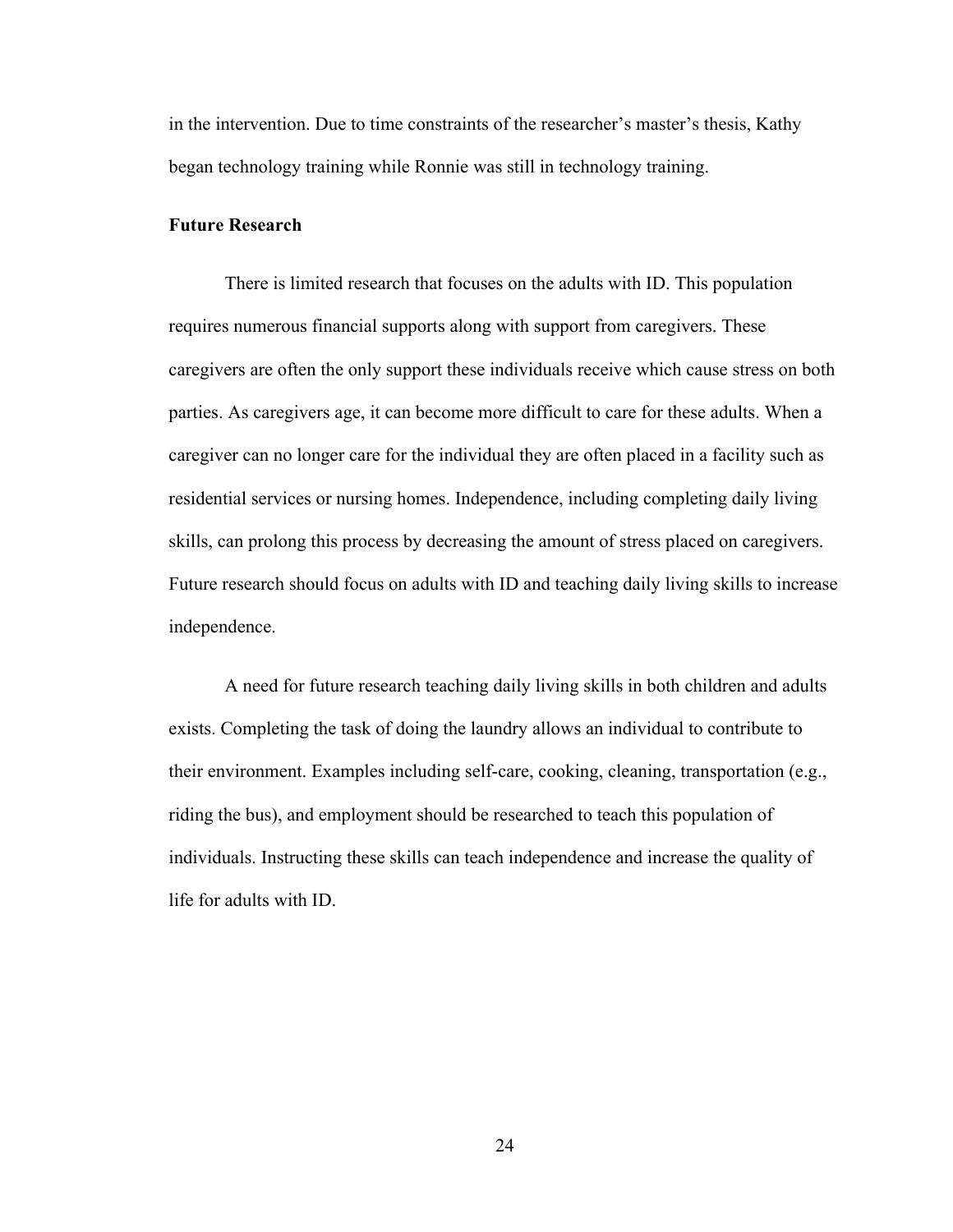in the intervention. Due to time constraints of the researcher's master's thesis, Kathy began technology training while Ronnie was still in technology training.

#### **Future Research**

There is limited research that focuses on the adults with ID. This population requires numerous financial supports along with support from caregivers. These caregivers are often the only support these individuals receive which cause stress on both parties. As caregivers age, it can become more difficult to care for these adults. When a caregiver can no longer care for the individual they are often placed in a facility such as residential services or nursing homes. Independence, including completing daily living skills, can prolong this process by decreasing the amount of stress placed on caregivers. Future research should focus on adults with ID and teaching daily living skills to increase independence.

A need for future research teaching daily living skills in both children and adults exists. Completing the task of doing the laundry allows an individual to contribute to their environment. Examples including self-care, cooking, cleaning, transportation (e.g., riding the bus), and employment should be researched to teach this population of individuals. Instructing these skills can teach independence and increase the quality of life for adults with ID.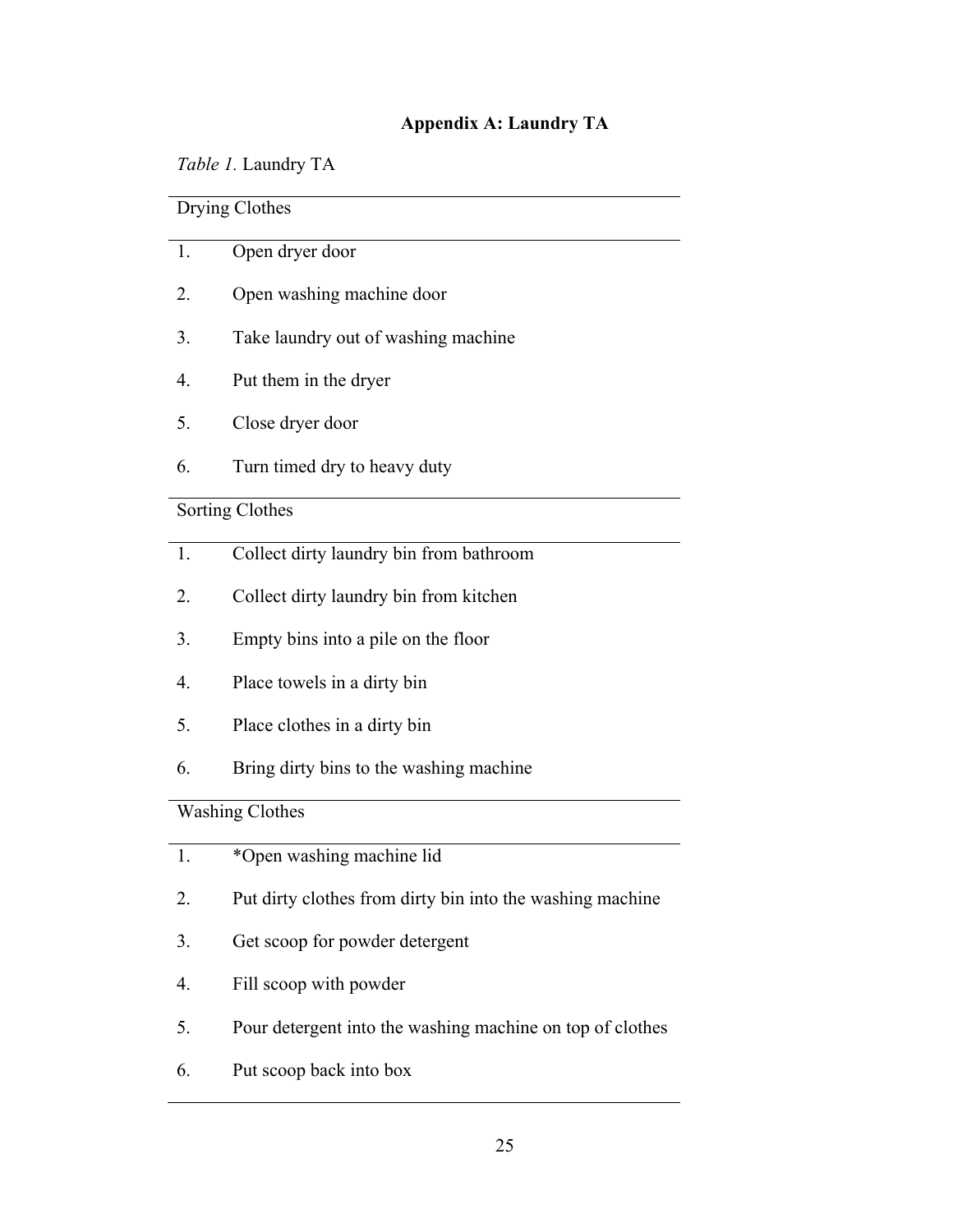### **Appendix A: Laundry TA**

*Table 1.* Laundry TA

Drying Clothes 1. Open dryer door 2. Open washing machine door 3. Take laundry out of washing machine 4. Put them in the dryer 5. Close dryer door 6. Turn timed dry to heavy duty Sorting Clothes 1. Collect dirty laundry bin from bathroom 2. Collect dirty laundry bin from kitchen 3. Empty bins into a pile on the floor 4. Place towels in a dirty bin 5. Place clothes in a dirty bin 6. Bring dirty bins to the washing machine Washing Clothes 1. \*Open washing machine lid 2. Put dirty clothes from dirty bin into the washing machine 3. Get scoop for powder detergent 4. Fill scoop with powder

- 5. Pour detergent into the washing machine on top of clothes
- 6. Put scoop back into box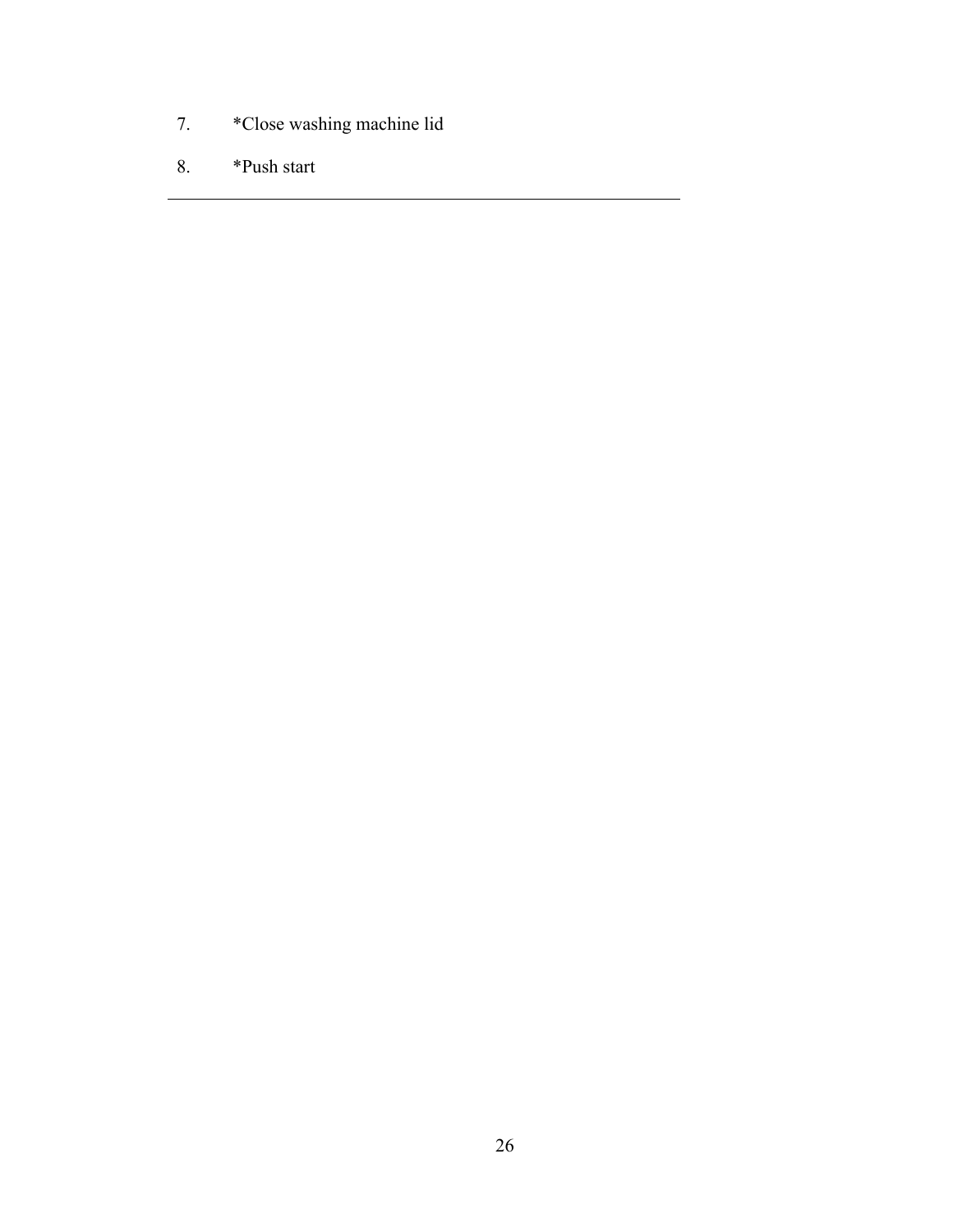- 7. \*Close washing machine lid
- 8. \*Push start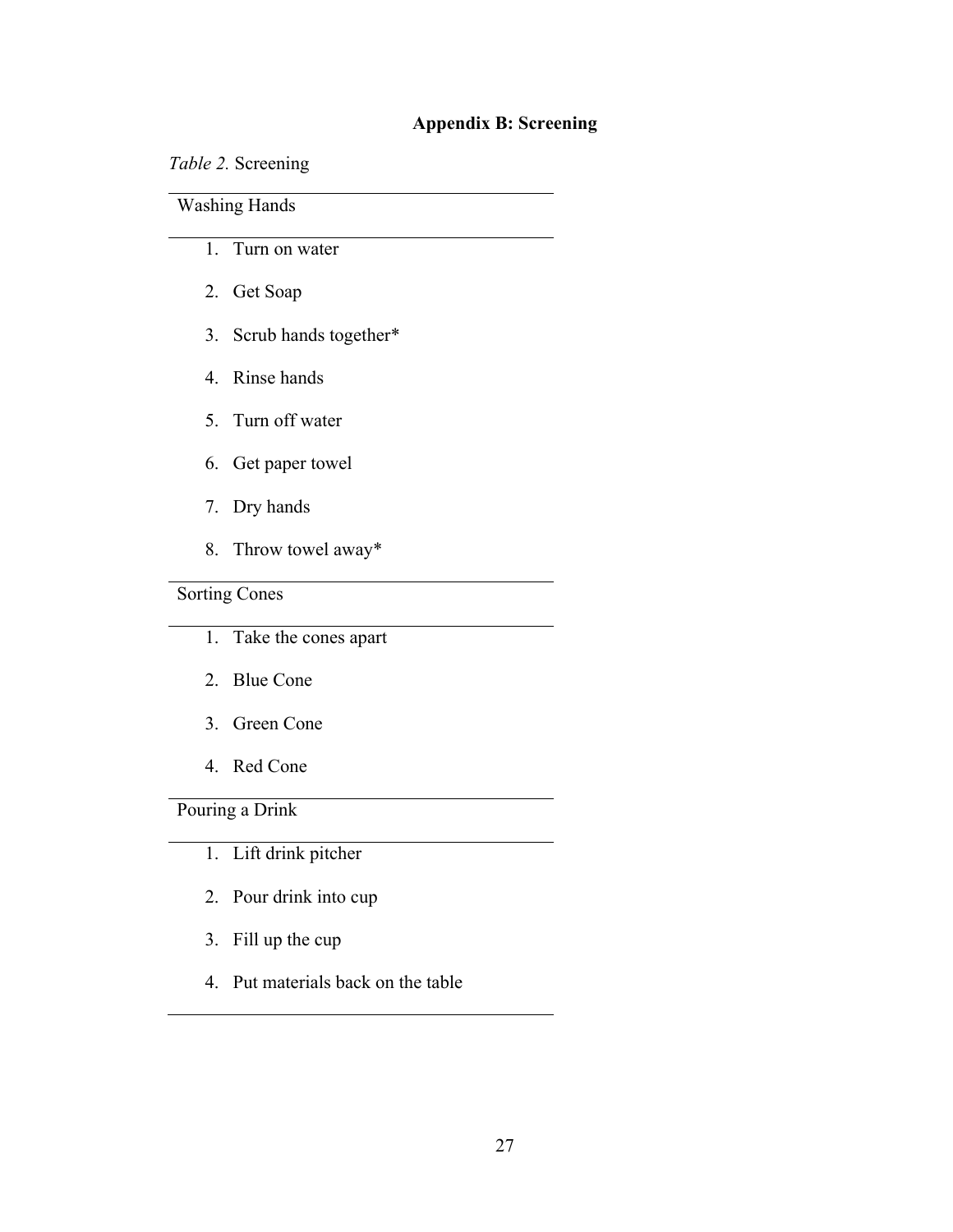## **Appendix B: Screening**

*Table 2.* Screening

Washing Hands

- 1. Turn on water
- 2. Get Soap
- 3. Scrub hands together\*
- 4. Rinse hands
- 5. Turn off water
- 6. Get paper towel
- 7. Dry hands
- 8. Throw towel away\*

## Sorting Cones

- 1. Take the cones apart
- 2. Blue Cone
- 3. Green Cone
- 4. Red Cone

Pouring a Drink

- 1. Lift drink pitcher
- 2. Pour drink into cup
- 3. Fill up the cup
- 4. Put materials back on the table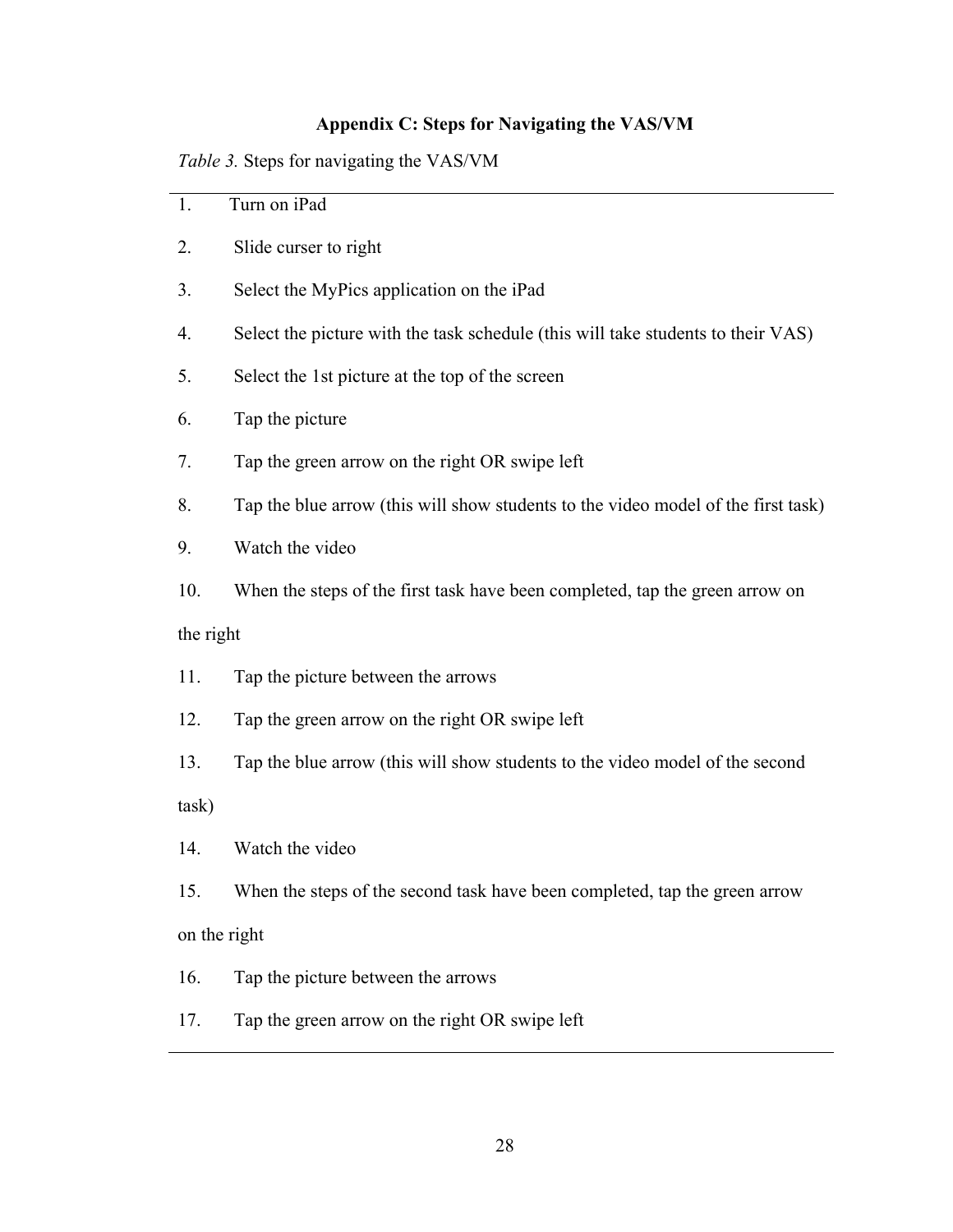## **Appendix C: Steps for Navigating the VAS/VM**

*Table 3.* Steps for navigating the VAS/VM

| 1.           | Turn on iPad                                                                      |  |
|--------------|-----------------------------------------------------------------------------------|--|
| 2.           | Slide curser to right                                                             |  |
| 3.           | Select the MyPics application on the iPad                                         |  |
| 4.           | Select the picture with the task schedule (this will take students to their VAS)  |  |
| 5.           | Select the 1st picture at the top of the screen                                   |  |
| 6.           | Tap the picture                                                                   |  |
| 7.           | Tap the green arrow on the right OR swipe left                                    |  |
| 8.           | Tap the blue arrow (this will show students to the video model of the first task) |  |
| 9.           | Watch the video                                                                   |  |
| 10.          | When the steps of the first task have been completed, tap the green arrow on      |  |
| the right    |                                                                                   |  |
| 11.          | Tap the picture between the arrows                                                |  |
| 12.          | Tap the green arrow on the right OR swipe left                                    |  |
| 13.          | Tap the blue arrow (this will show students to the video model of the second      |  |
| task)        |                                                                                   |  |
| 14.          | Watch the video                                                                   |  |
| 15.          | When the steps of the second task have been completed, tap the green arrow        |  |
| on the right |                                                                                   |  |
| 16.          | Tap the picture between the arrows                                                |  |
| 17.          | Tap the green arrow on the right OR swipe left                                    |  |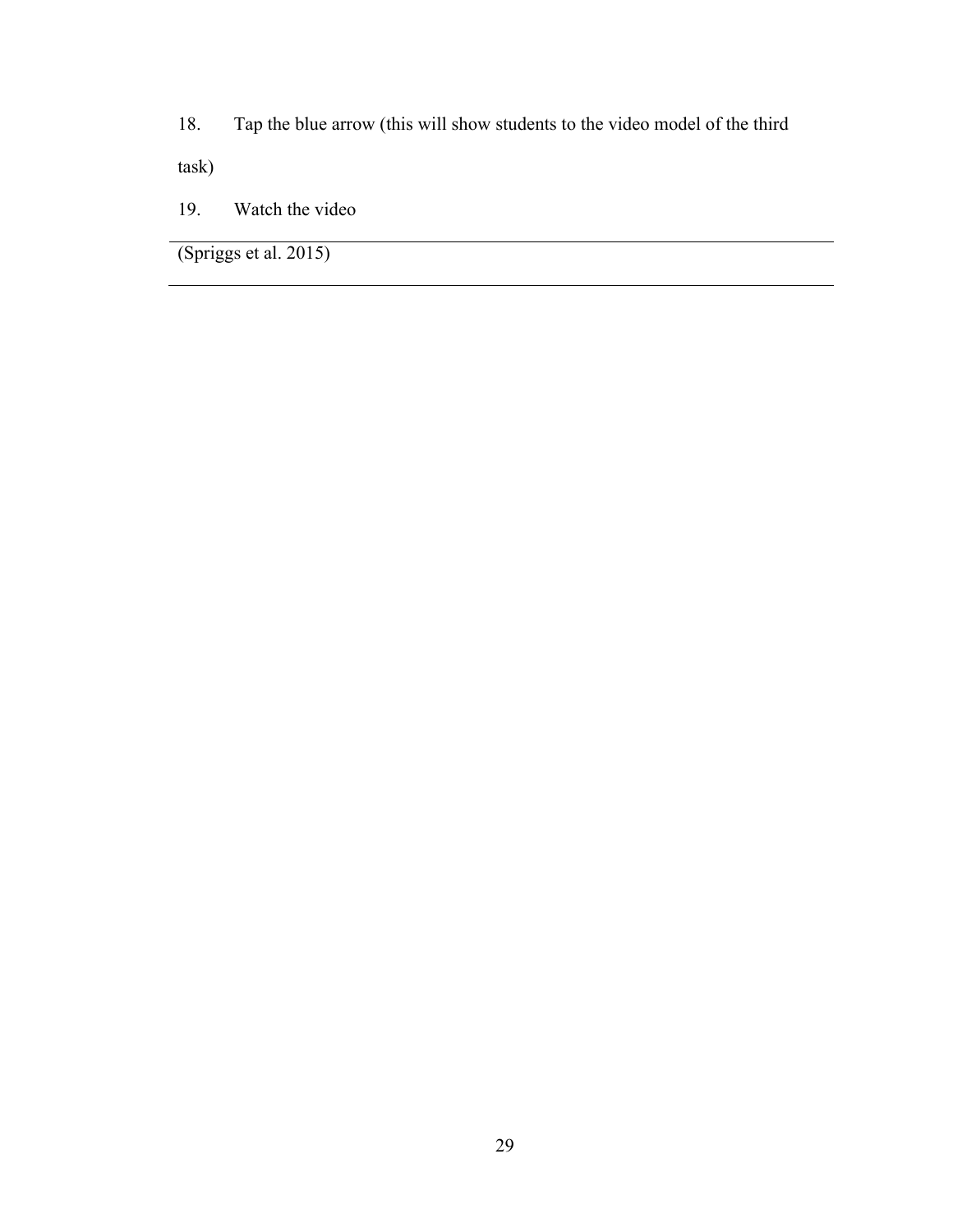18. Tap the blue arrow (this will show students to the video model of the third

task)

19. Watch the video

(Spriggs et al. 2015)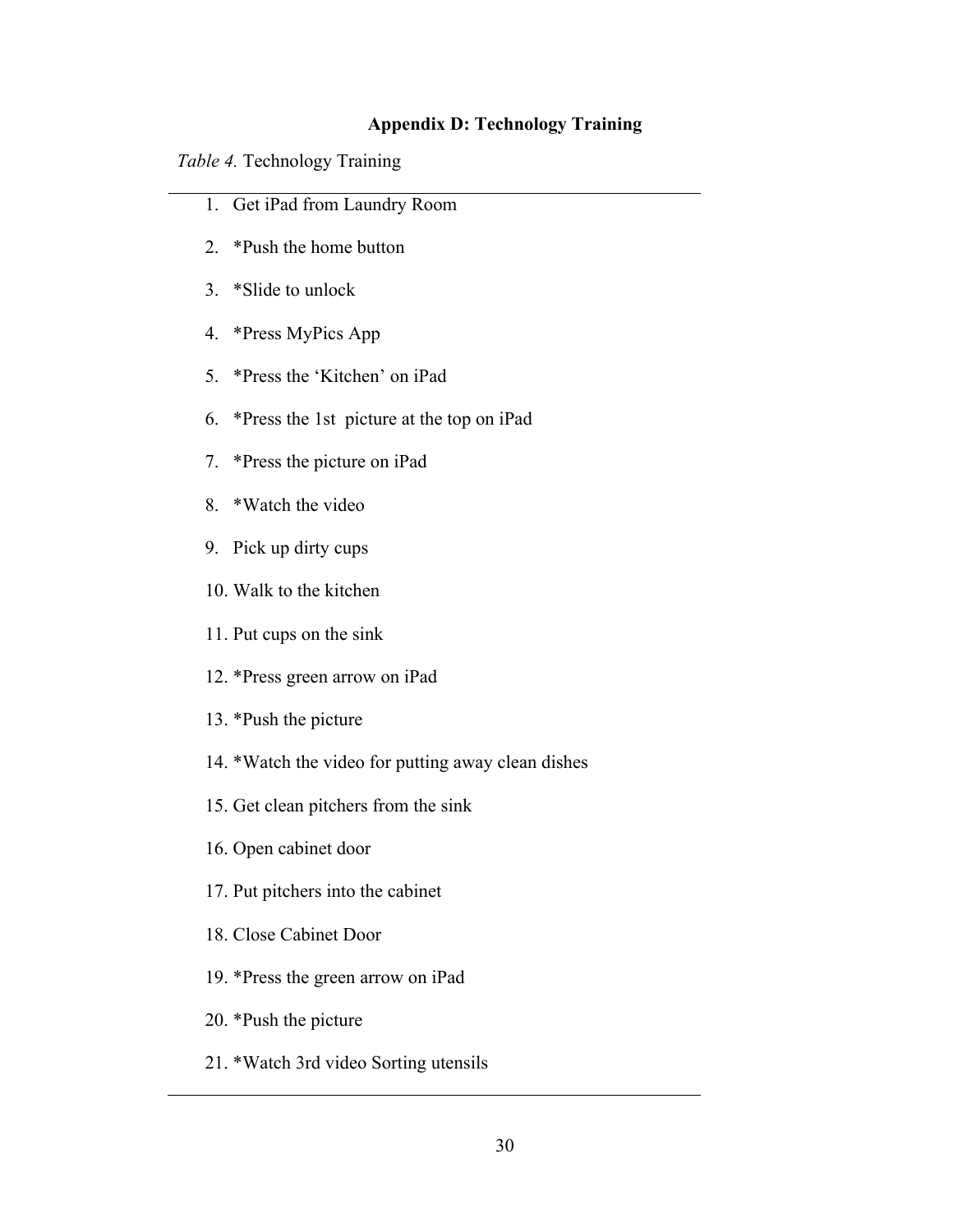#### **Appendix D: Technology Training**

*Table 4.* Technology Training

- 1. Get iPad from Laundry Room
- 2. \*Push the home button
- 3. \*Slide to unlock
- 4. \*Press MyPics App
- 5. \*Press the 'Kitchen' on iPad
- 6. \*Press the 1st picture at the top on iPad
- 7. \*Press the picture on iPad
- 8. \*Watch the video
- 9. Pick up dirty cups
- 10. Walk to the kitchen
- 11. Put cups on the sink
- 12. \*Press green arrow on iPad
- 13. \*Push the picture
- 14. \*Watch the video for putting away clean dishes
- 15. Get clean pitchers from the sink
- 16. Open cabinet door
- 17. Put pitchers into the cabinet
- 18. Close Cabinet Door
- 19. \*Press the green arrow on iPad
- 20. \*Push the picture
- 21. \*Watch 3rd video Sorting utensils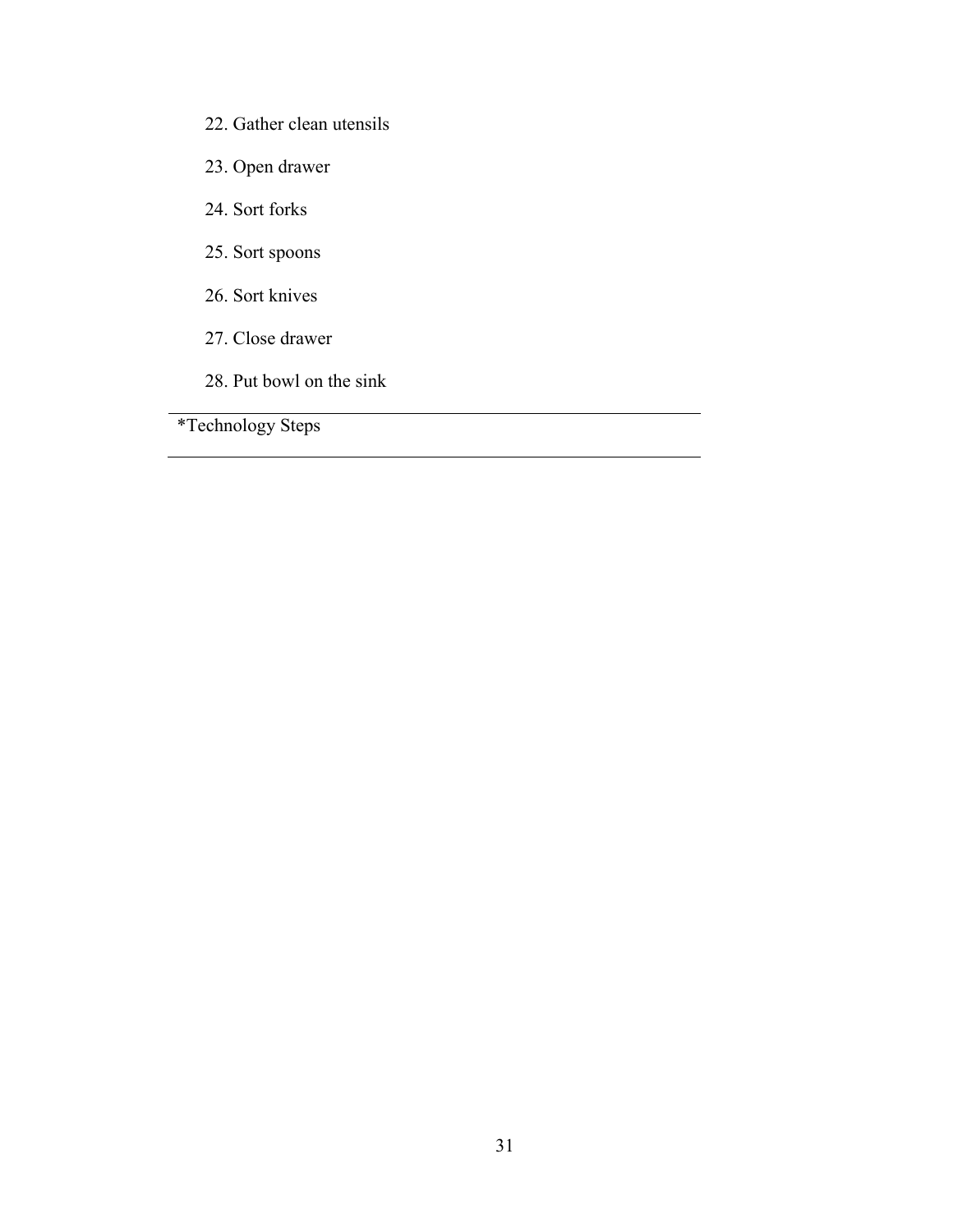- 22. Gather clean utensils
- 23. Open drawer
- 24. Sort forks
- 25. Sort spoons
- 26. Sort knives
- 27. Close drawer
- 28. Put bowl on the sink

\*Technology Steps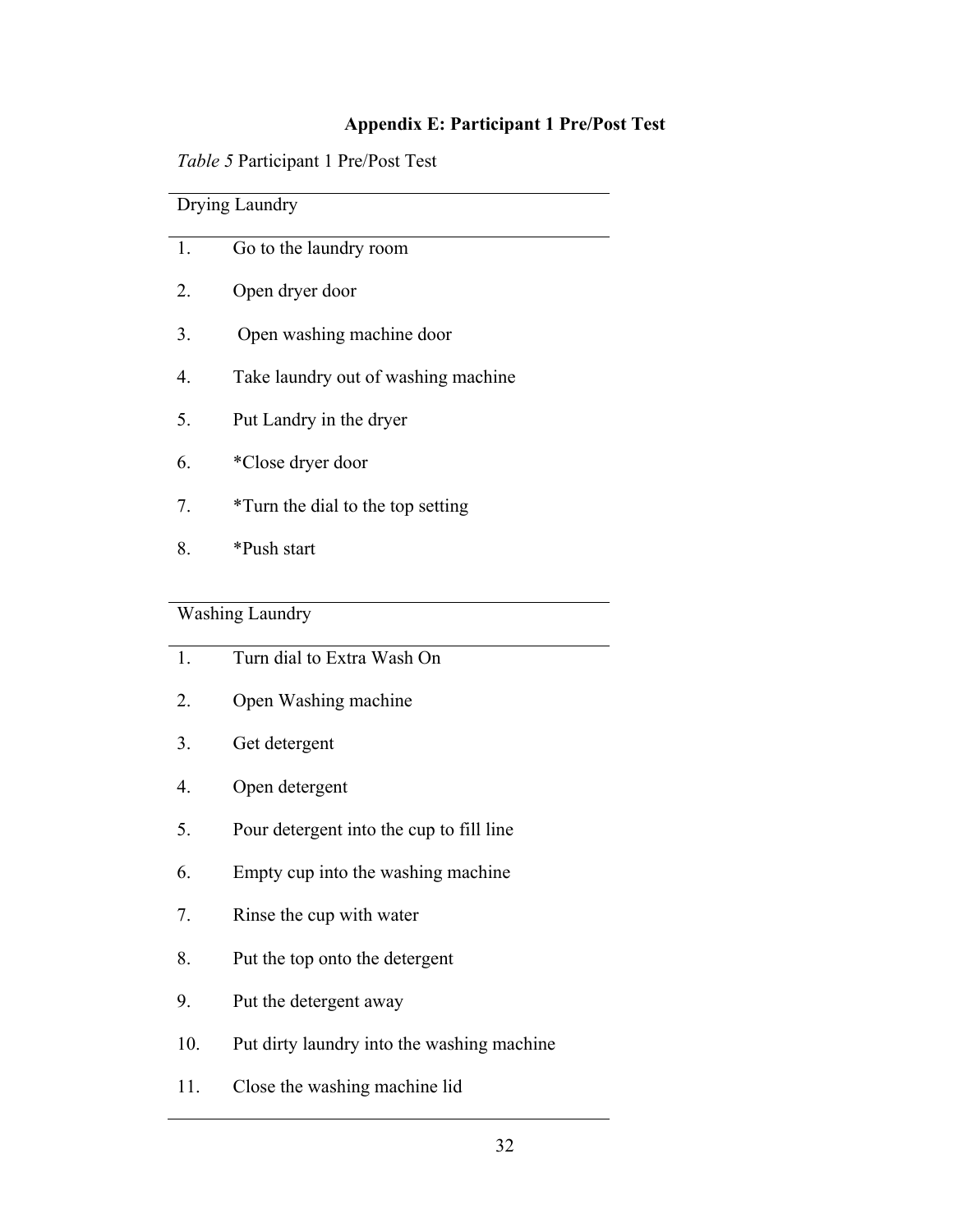## **Appendix E: Participant 1 Pre/Post Test**

|  | Table 5 Participant 1 Pre/Post Test |
|--|-------------------------------------|
|  |                                     |

| Drying Laundry |                                     |  |
|----------------|-------------------------------------|--|
| 1.             | Go to the laundry room              |  |
| 2.             | Open dryer door                     |  |
| 3.             | Open washing machine door           |  |
| 4.             | Take laundry out of washing machine |  |
| 5.             | Put Landry in the dryer             |  |
| 6.             | *Close dryer door                   |  |
| 7.             | *Turn the dial to the top setting   |  |
| 8.             | *Push start                         |  |
|                |                                     |  |

## Washing Laundry

| 1.  | Turn dial to Extra Wash On                 |
|-----|--------------------------------------------|
| 2.  | Open Washing machine                       |
| 3.  | Get detergent                              |
| 4.  | Open detergent                             |
| 5.  | Pour detergent into the cup to fill line   |
| 6.  | Empty cup into the washing machine         |
| 7.  | Rinse the cup with water                   |
| 8.  | Put the top onto the detergent             |
| 9.  | Put the detergent away                     |
| 10. | Put dirty laundry into the washing machine |
| 11. | Close the washing machine lid              |

 $\overline{\phantom{0}}$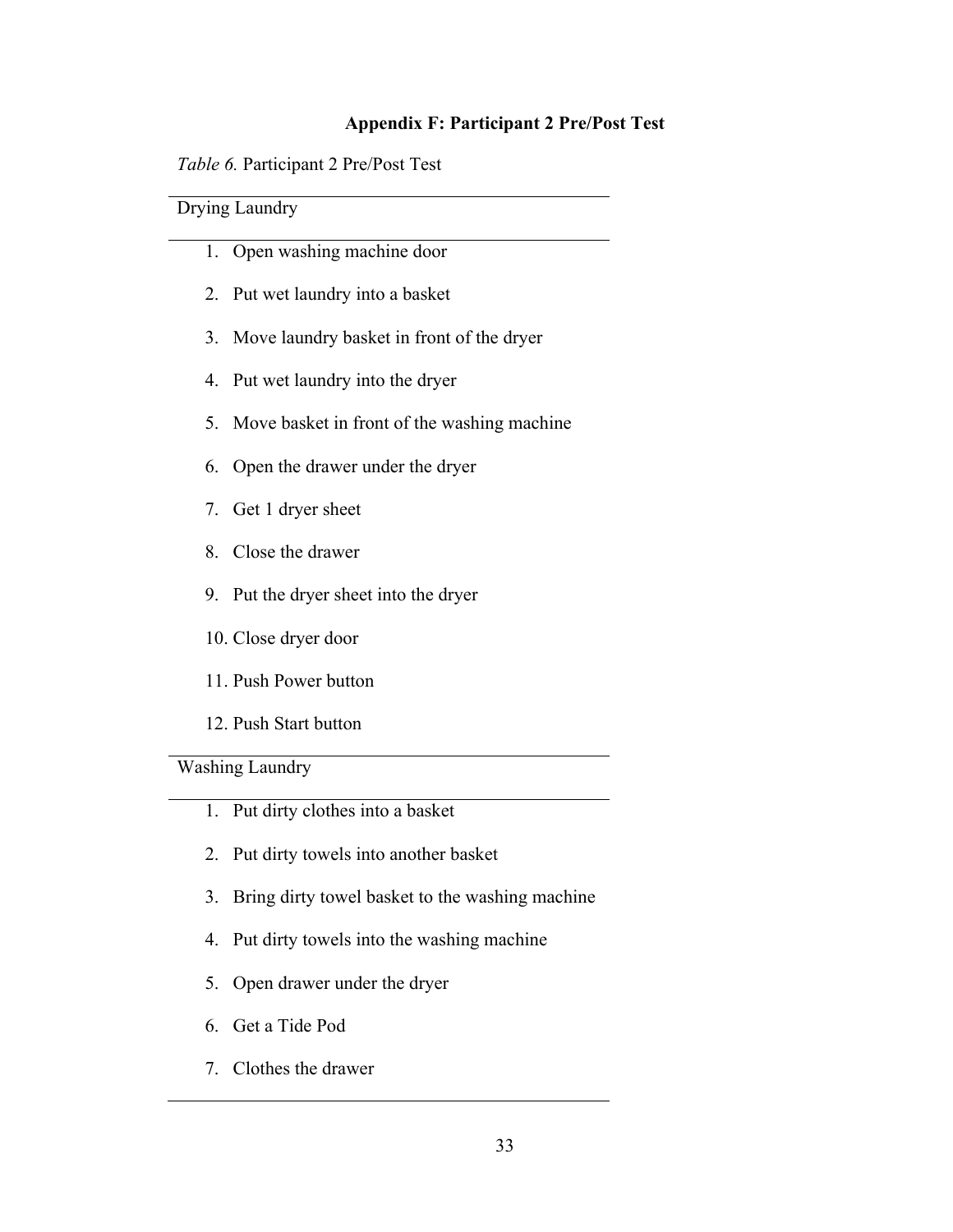### **Appendix F: Participant 2 Pre/Post Test**

*Table 6.* Participant 2 Pre/Post Test

## Drying Laundry

- 1. Open washing machine door
- 2. Put wet laundry into a basket
- 3. Move laundry basket in front of the dryer
- 4. Put wet laundry into the dryer
- 5. Move basket in front of the washing machine
- 6. Open the drawer under the dryer
- 7. Get 1 dryer sheet
- 8. Close the drawer
- 9. Put the dryer sheet into the dryer
- 10. Close dryer door
- 11. Push Power button
- 12. Push Start button

Washing Laundry

- 1. Put dirty clothes into a basket
- 2. Put dirty towels into another basket
- 3. Bring dirty towel basket to the washing machine
- 4. Put dirty towels into the washing machine
- 5. Open drawer under the dryer
- 6. Get a Tide Pod
- 7. Clothes the drawer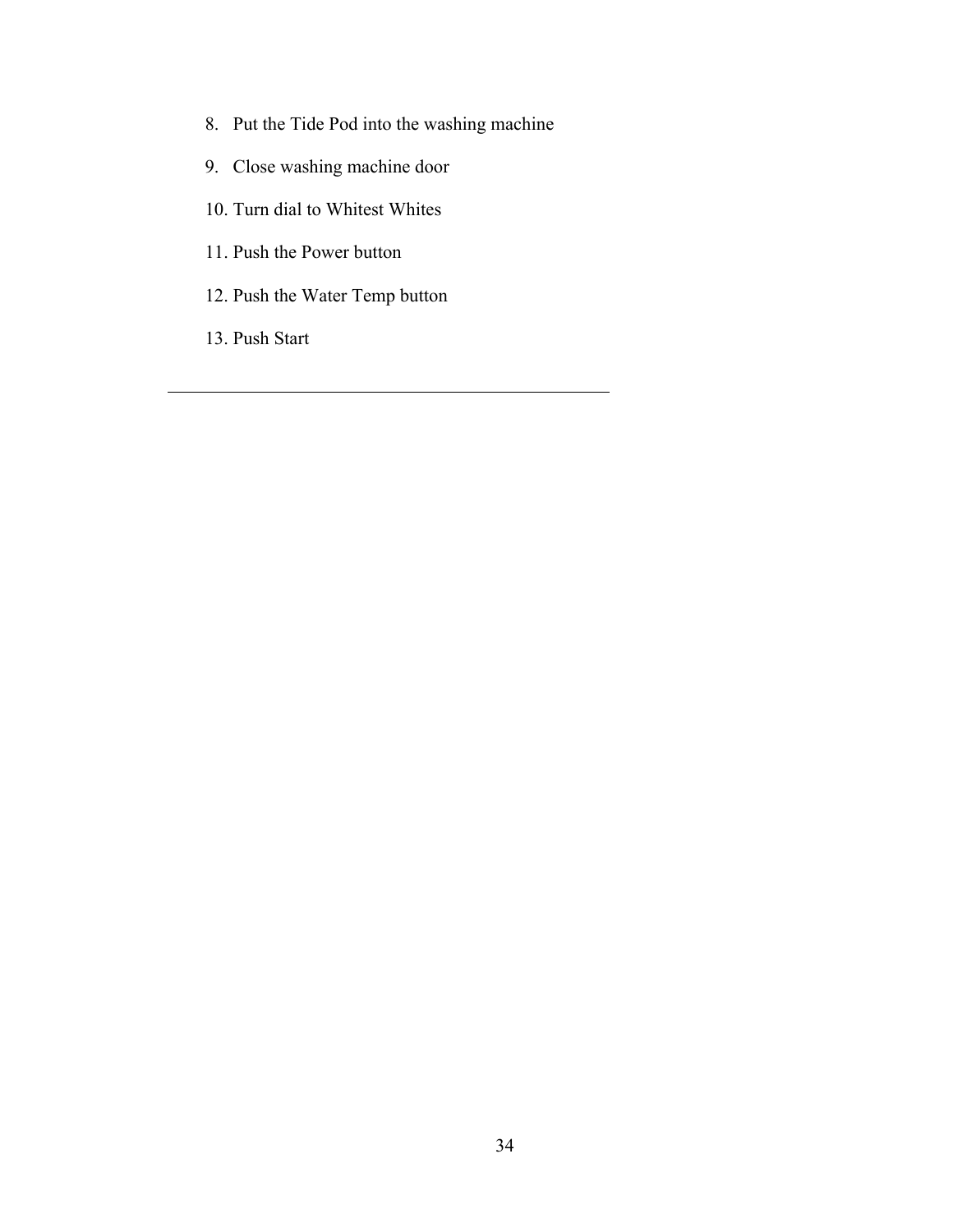- 8. Put the Tide Pod into the washing machine
- 9. Close washing machine door
- 10. Turn dial to Whitest Whites
- 11. Push the Power button
- 12. Push the Water Temp button
- 13. Push Start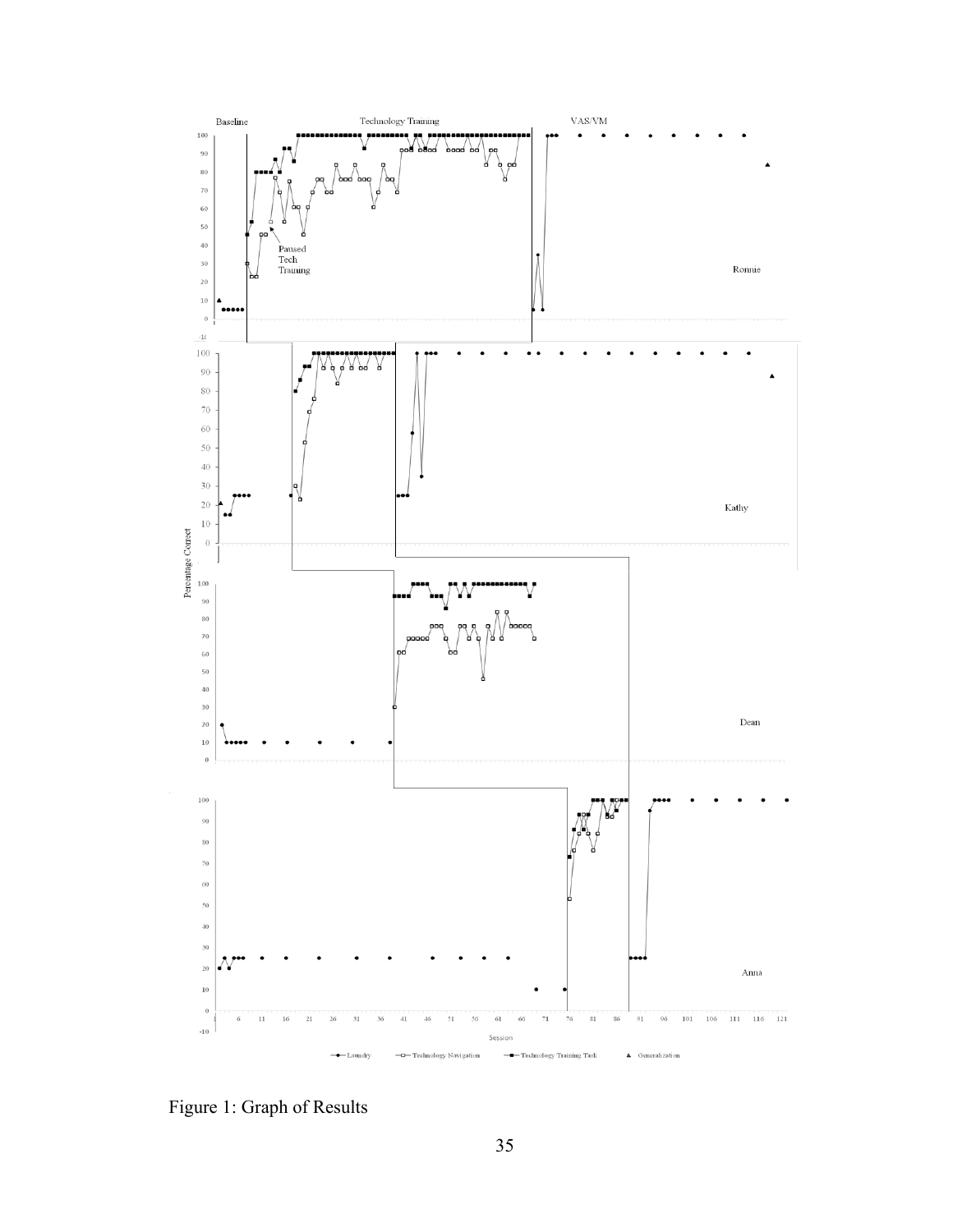

Figure 1: Graph of Results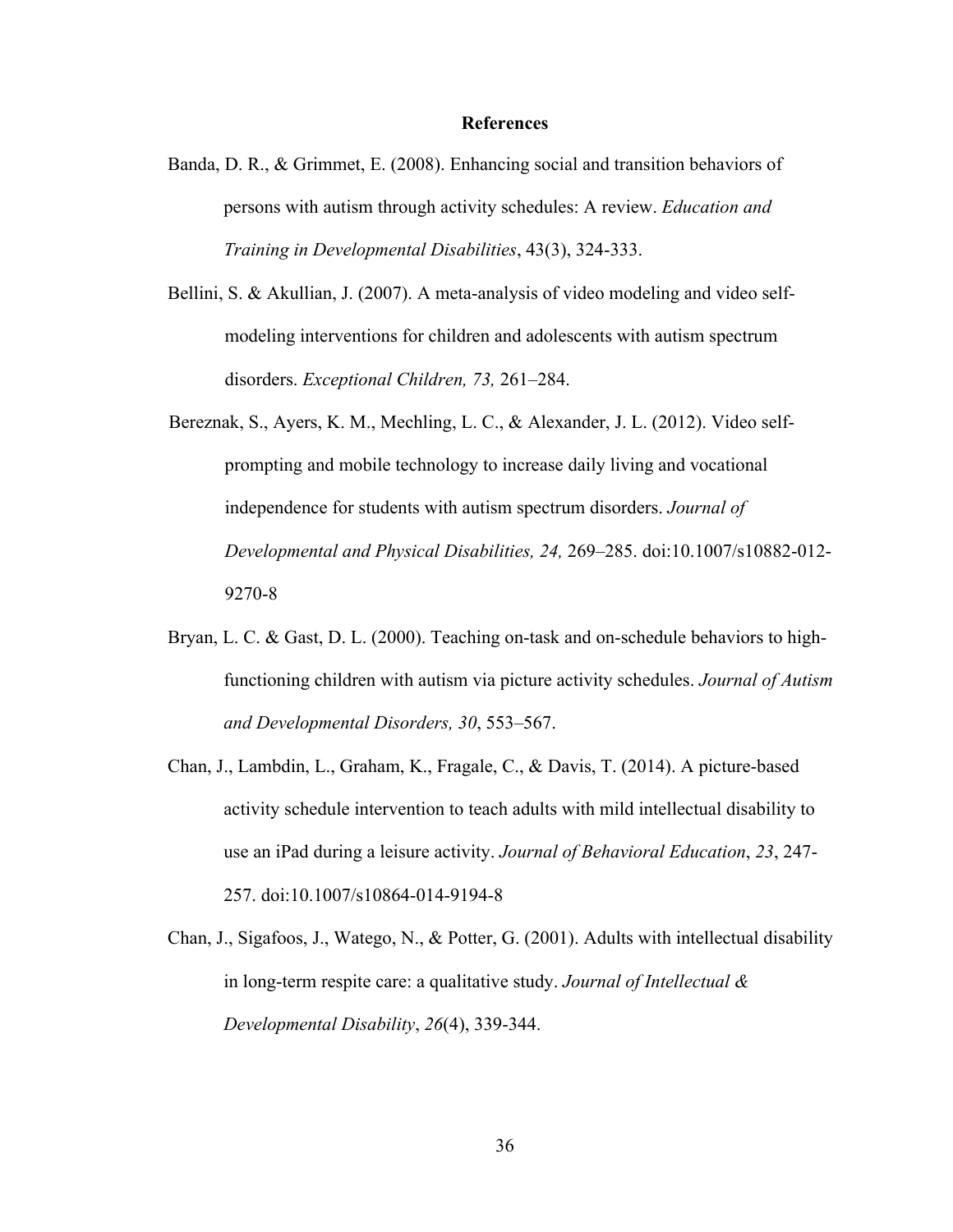#### **References**

- Banda, D. R., & Grimmet, E. (2008). Enhancing social and transition behaviors of persons with autism through activity schedules: A review. *Education and Training in Developmental Disabilities*, 43(3), 324-333.
- Bellini, S. & Akullian, J. (2007). A meta-analysis of video modeling and video selfmodeling interventions for children and adolescents with autism spectrum disorders. *Exceptional Children, 73,* 261–284.
- Bereznak, S., Ayers, K. M., Mechling, L. C., & Alexander, J. L. (2012). Video selfprompting and mobile technology to increase daily living and vocational independence for students with autism spectrum disorders. *Journal of Developmental and Physical Disabilities, 24,* 269–285. doi:10.1007/s10882-012- 9270-8
- Bryan, L. C. & Gast, D. L. (2000). Teaching on-task and on-schedule behaviors to highfunctioning children with autism via picture activity schedules. *Journal of Autism and Developmental Disorders, 30*, 553–567.
- Chan, J., Lambdin, L., Graham, K., Fragale, C., & Davis, T. (2014). A picture-based activity schedule intervention to teach adults with mild intellectual disability to use an iPad during a leisure activity. *Journal of Behavioral Education*, *23*, 247- 257. doi:10.1007/s10864-014-9194-8
- Chan, J., Sigafoos, J., Watego, N., & Potter, G. (2001). Adults with intellectual disability in long-term respite care: a qualitative study. *Journal of Intellectual & Developmental Disability*, *26*(4), 339-344.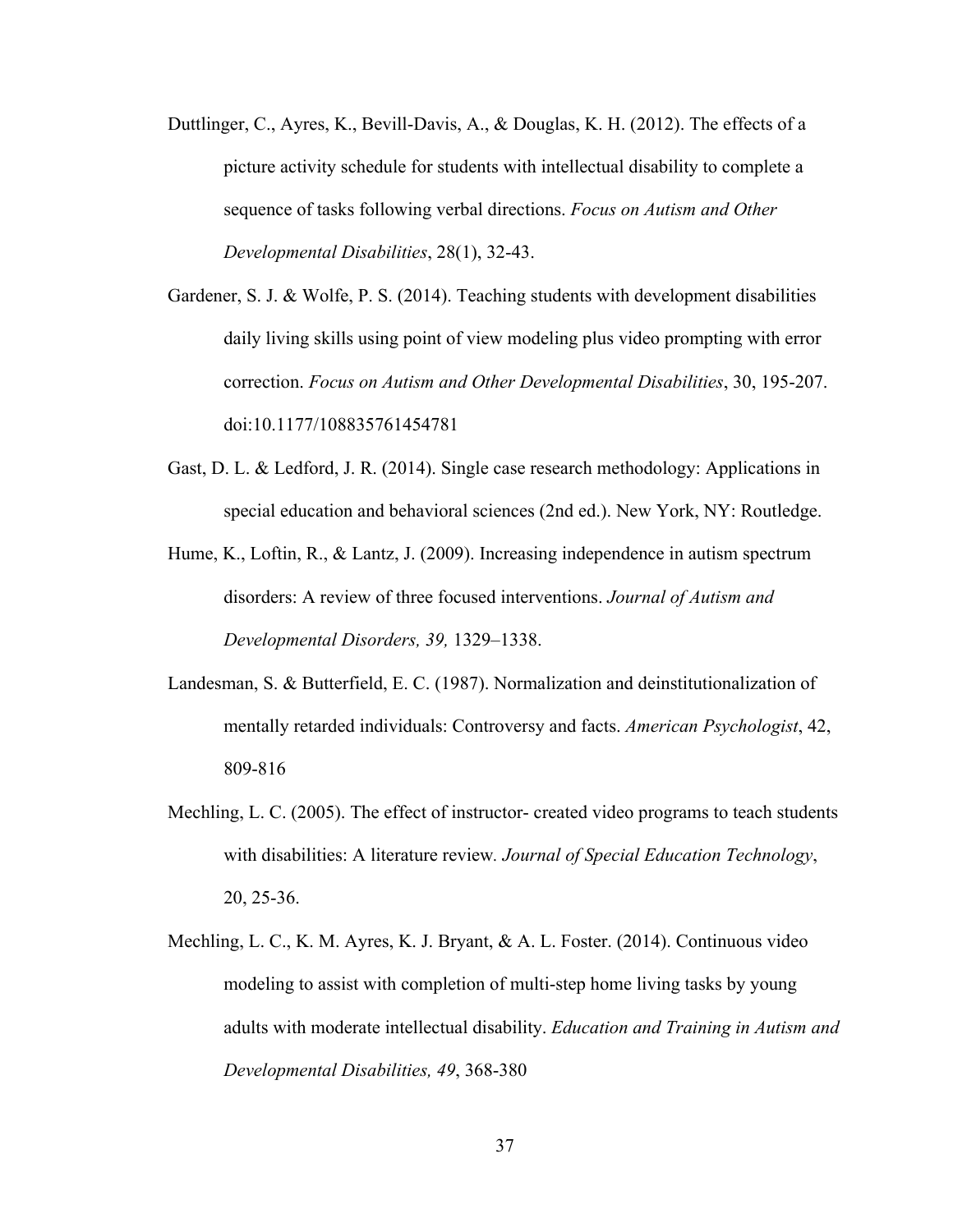- Duttlinger, C., Ayres, K., Bevill-Davis, A., & Douglas, K. H. (2012). The effects of a picture activity schedule for students with intellectual disability to complete a sequence of tasks following verbal directions. *Focus on Autism and Other Developmental Disabilities*, 28(1), 32-43.
- Gardener, S. J. & Wolfe, P. S. (2014). Teaching students with development disabilities daily living skills using point of view modeling plus video prompting with error correction. *Focus on Autism and Other Developmental Disabilities*, 30, 195-207. doi:10.1177/108835761454781
- Gast, D. L. & Ledford, J. R. (2014). Single case research methodology: Applications in special education and behavioral sciences (2nd ed.). New York, NY: Routledge.
- Hume, K., Loftin, R., & Lantz, J. (2009). Increasing independence in autism spectrum disorders: A review of three focused interventions. *Journal of Autism and Developmental Disorders, 39,* 1329–1338.
- Landesman, S. & Butterfield, E. C. (1987). Normalization and deinstitutionalization of mentally retarded individuals: Controversy and facts. *American Psychologist*, 42, 809-816
- Mechling, L. C. (2005). The effect of instructor- created video programs to teach students with disabilities: A literature review*. Journal of Special Education Technology*, 20, 25-36.
- Mechling, L. C., K. M. Ayres, K. J. Bryant, & A. L. Foster. (2014). Continuous video modeling to assist with completion of multi-step home living tasks by young adults with moderate intellectual disability. *Education and Training in Autism and Developmental Disabilities, 49*, 368-380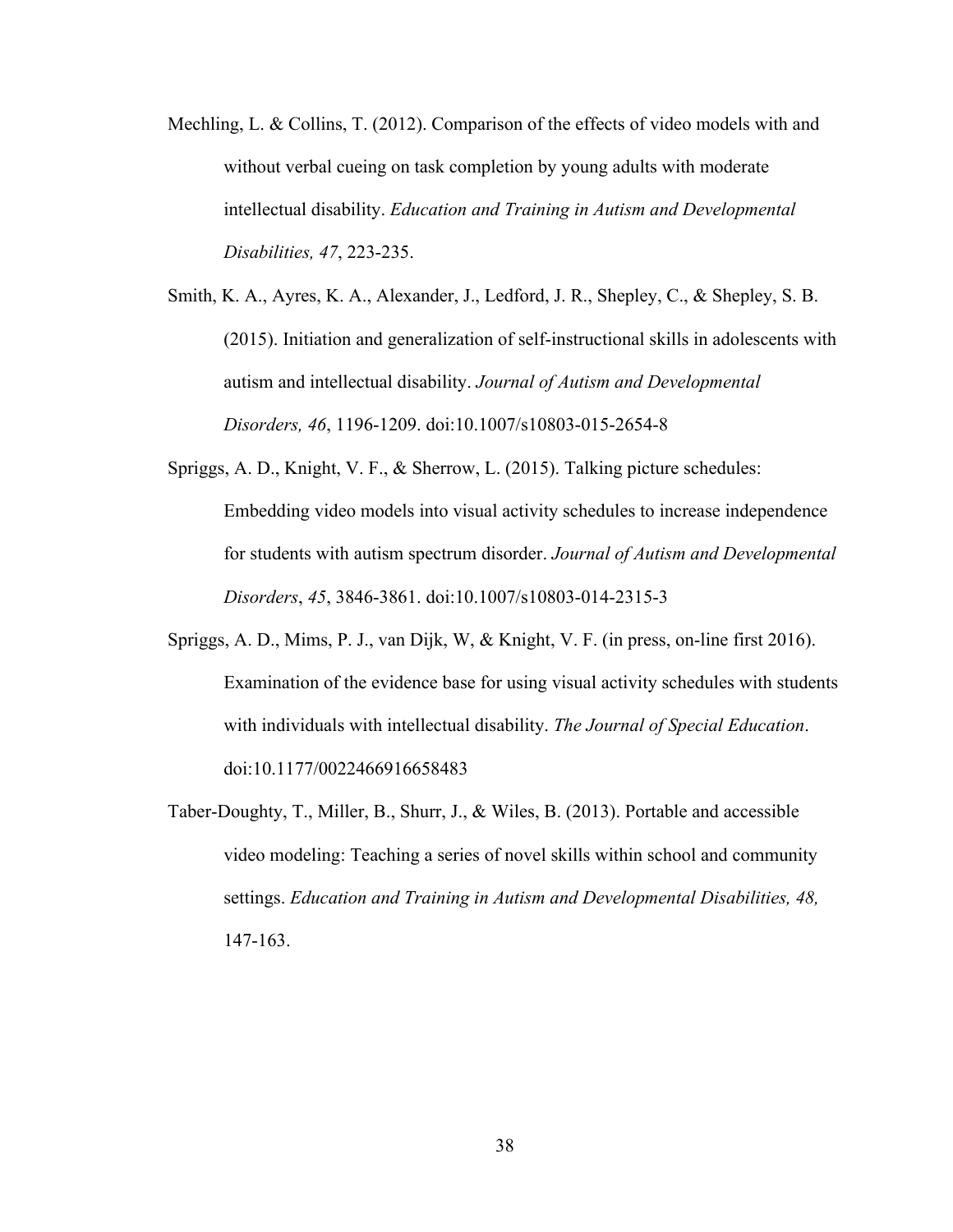- Mechling, L. & Collins, T. (2012). Comparison of the effects of video models with and without verbal cueing on task completion by young adults with moderate intellectual disability. *Education and Training in Autism and Developmental Disabilities, 47*, 223-235.
- Smith, K. A., Ayres, K. A., Alexander, J., Ledford, J. R., Shepley, C., & Shepley, S. B. (2015). Initiation and generalization of self-instructional skills in adolescents with autism and intellectual disability. *Journal of Autism and Developmental Disorders, 46*, 1196-1209. doi:10.1007/s10803-015-2654-8
- Spriggs, A. D., Knight, V. F., & Sherrow, L. (2015). Talking picture schedules: Embedding video models into visual activity schedules to increase independence for students with autism spectrum disorder. *Journal of Autism and Developmental Disorders*, *45*, 3846-3861. doi:10.1007/s10803-014-2315-3
- Spriggs, A. D., Mims, P. J., van Dijk, W, & Knight, V. F. (in press, on-line first 2016). Examination of the evidence base for using visual activity schedules with students with individuals with intellectual disability. *The Journal of Special Education*. doi:10.1177/0022466916658483
- Taber-Doughty, T., Miller, B., Shurr, J., & Wiles, B. (2013). Portable and accessible video modeling: Teaching a series of novel skills within school and community settings. *Education and Training in Autism and Developmental Disabilities, 48,* 147-163.